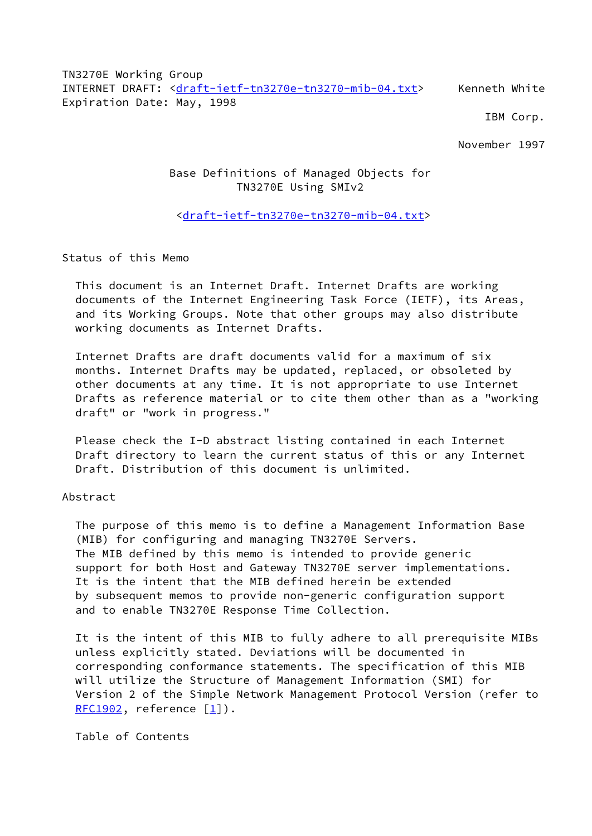TN3270E Working Group INTERNET DRAFT: [<draft-ietf-tn3270e-tn3270-mib-04.txt](https://datatracker.ietf.org/doc/pdf/draft-ietf-tn3270e-tn3270-mib-04.txt)> Kenneth White Expiration Date: May, 1998

IBM Corp.

November 1997

## Base Definitions of Managed Objects for TN3270E Using SMIv2

## <[draft-ietf-tn3270e-tn3270-mib-04.txt>](https://datatracker.ietf.org/doc/pdf/draft-ietf-tn3270e-tn3270-mib-04.txt)

Status of this Memo

 This document is an Internet Draft. Internet Drafts are working documents of the Internet Engineering Task Force (IETF), its Areas, and its Working Groups. Note that other groups may also distribute working documents as Internet Drafts.

 Internet Drafts are draft documents valid for a maximum of six months. Internet Drafts may be updated, replaced, or obsoleted by other documents at any time. It is not appropriate to use Internet Drafts as reference material or to cite them other than as a "working draft" or "work in progress."

 Please check the I-D abstract listing contained in each Internet Draft directory to learn the current status of this or any Internet Draft. Distribution of this document is unlimited.

#### Abstract

 The purpose of this memo is to define a Management Information Base (MIB) for configuring and managing TN3270E Servers. The MIB defined by this memo is intended to provide generic support for both Host and Gateway TN3270E server implementations. It is the intent that the MIB defined herein be extended by subsequent memos to provide non-generic configuration support and to enable TN3270E Response Time Collection.

 It is the intent of this MIB to fully adhere to all prerequisite MIBs unless explicitly stated. Deviations will be documented in corresponding conformance statements. The specification of this MIB will utilize the Structure of Management Information (SMI) for Version 2 of the Simple Network Management Protocol Version (refer to  $RFC1902$ , reference  $[1]$  $[1]$ ).

Table of Contents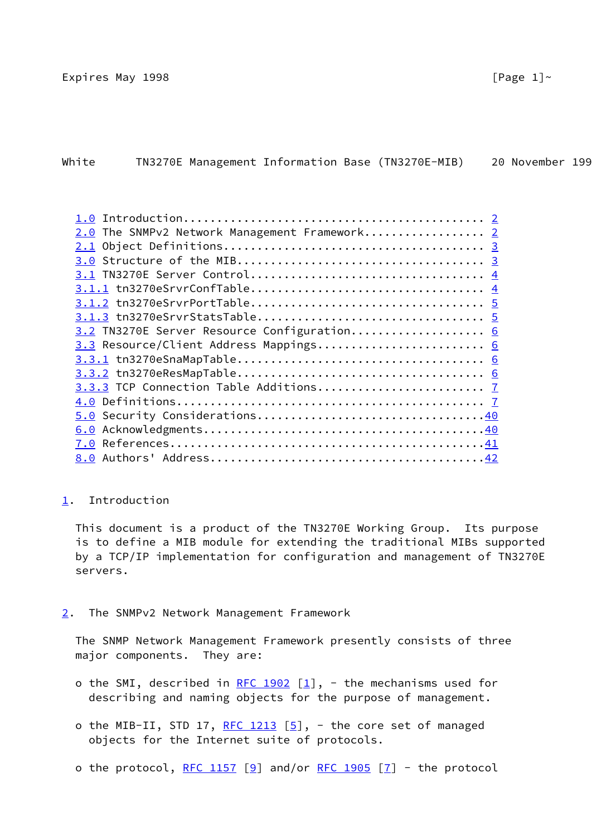| White |  |  | TN3270E Management Information Base (TN3270E-MIB) | 20 November 199 |  |
|-------|--|--|---------------------------------------------------|-----------------|--|
|       |  |  |                                                   |                 |  |

| 2.0 The SNMPv2 Network Management Framework 2 |  |
|-----------------------------------------------|--|
|                                               |  |
|                                               |  |
|                                               |  |
|                                               |  |
|                                               |  |
|                                               |  |
| 3.2 TN3270E Server Resource Configuration 6   |  |
| 3.3 Resource/Client Address Mappings 6        |  |
|                                               |  |
|                                               |  |
|                                               |  |
|                                               |  |
|                                               |  |
|                                               |  |
|                                               |  |
|                                               |  |
|                                               |  |

<span id="page-1-0"></span>[1](#page-1-0). Introduction

 This document is a product of the TN3270E Working Group. Its purpose is to define a MIB module for extending the traditional MIBs supported by a TCP/IP implementation for configuration and management of TN3270E servers.

<span id="page-1-1"></span>[2](#page-1-1). The SNMPv2 Network Management Framework

 The SNMP Network Management Framework presently consists of three major components. They are:

- o the SMI, described in [RFC 1902](https://datatracker.ietf.org/doc/pdf/rfc1902)  $[1]$  $[1]$ , the mechanisms used for describing and naming objects for the purpose of management.
- o the MIB-II, STD 17, [RFC 1213](https://datatracker.ietf.org/doc/pdf/rfc1213)  $[5]$  $[5]$ , the core set of managed objects for the Internet suite of protocols.
- o the protocol, [RFC 1157](https://datatracker.ietf.org/doc/pdf/rfc1157) [\[9](#page-47-2)] and/or [RFC 1905](https://datatracker.ietf.org/doc/pdf/rfc1905) [\[7](#page-47-3)] the protocol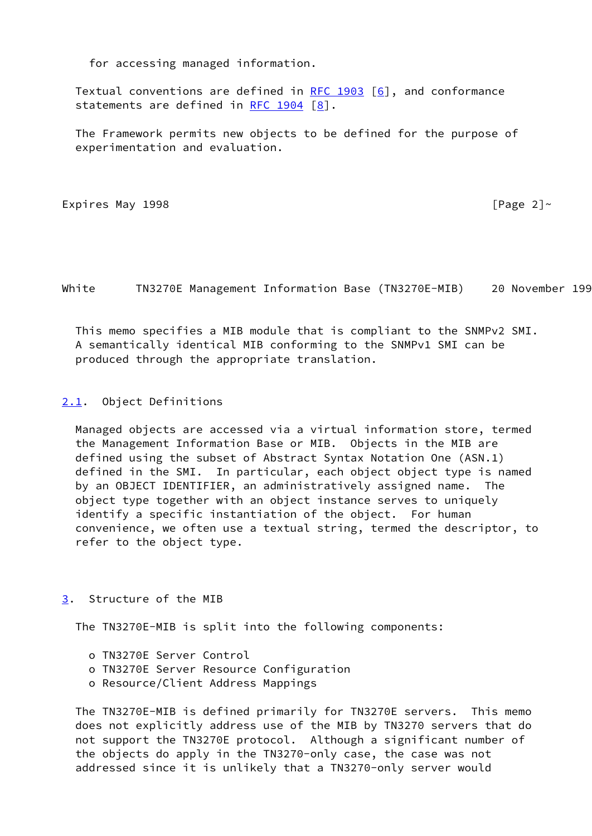for accessing managed information.

Textual conventions are defined in RFC  $1903$  [[6\]](#page-47-4), and conformance statements are defined in [RFC 1904](https://datatracker.ietf.org/doc/pdf/rfc1904)  $[8]$  $[8]$ .

 The Framework permits new objects to be defined for the purpose of experimentation and evaluation.

```
Expires May 1998 [Page 2]~
```
White TN3270E Management Information Base (TN3270E-MIB) 20 November 199

 This memo specifies a MIB module that is compliant to the SNMPv2 SMI. A semantically identical MIB conforming to the SNMPv1 SMI can be produced through the appropriate translation.

<span id="page-2-0"></span>[2.1](#page-2-0). Object Definitions

 Managed objects are accessed via a virtual information store, termed the Management Information Base or MIB. Objects in the MIB are defined using the subset of Abstract Syntax Notation One (ASN.1) defined in the SMI. In particular, each object object type is named by an OBJECT IDENTIFIER, an administratively assigned name. The object type together with an object instance serves to uniquely identify a specific instantiation of the object. For human convenience, we often use a textual string, termed the descriptor, to refer to the object type.

### <span id="page-2-1"></span>[3](#page-2-1). Structure of the MIB

The TN3270E-MIB is split into the following components:

- o TN3270E Server Control
- o TN3270E Server Resource Configuration
- o Resource/Client Address Mappings

 The TN3270E-MIB is defined primarily for TN3270E servers. This memo does not explicitly address use of the MIB by TN3270 servers that do not support the TN3270E protocol. Although a significant number of the objects do apply in the TN3270-only case, the case was not addressed since it is unlikely that a TN3270-only server would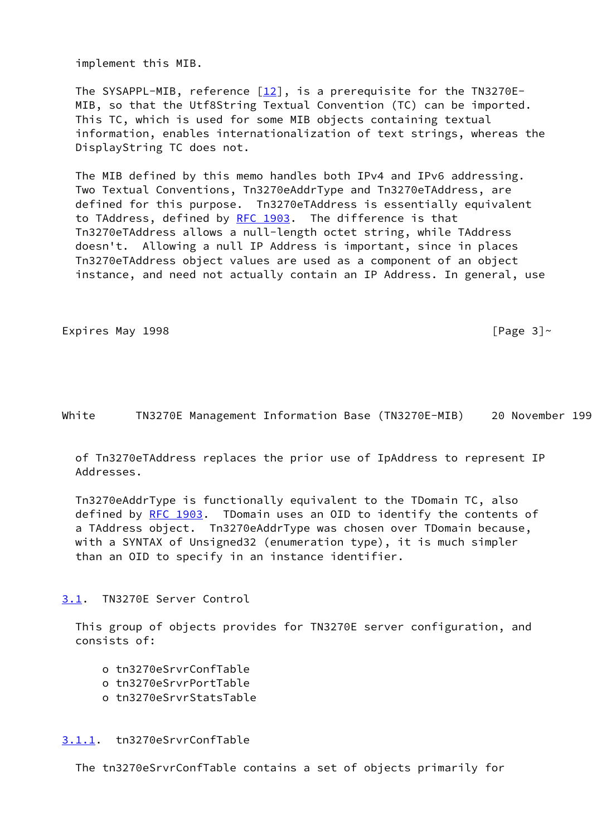implement this MIB.

The SYSAPPL-MIB, reference  $[12]$  $[12]$ , is a prerequisite for the TN3270E- MIB, so that the Utf8String Textual Convention (TC) can be imported. This TC, which is used for some MIB objects containing textual information, enables internationalization of text strings, whereas the DisplayString TC does not.

 The MIB defined by this memo handles both IPv4 and IPv6 addressing. Two Textual Conventions, Tn3270eAddrType and Tn3270eTAddress, are defined for this purpose. Tn3270eTAddress is essentially equivalent to TAddress, defined by [RFC 1903.](https://datatracker.ietf.org/doc/pdf/rfc1903) The difference is that Tn3270eTAddress allows a null-length octet string, while TAddress doesn't. Allowing a null IP Address is important, since in places Tn3270eTAddress object values are used as a component of an object instance, and need not actually contain an IP Address. In general, use

Expires May 1998  $\sqrt{P}$  and  $\sqrt{P}$  and  $\sqrt{P}$  are  $\sqrt{P}$ 

White TN3270E Management Information Base (TN3270E-MIB) 20 November 199

 of Tn3270eTAddress replaces the prior use of IpAddress to represent IP Addresses.

 Tn3270eAddrType is functionally equivalent to the TDomain TC, also defined by [RFC 1903](https://datatracker.ietf.org/doc/pdf/rfc1903). TDomain uses an OID to identify the contents of a TAddress object. Tn3270eAddrType was chosen over TDomain because, with a SYNTAX of Unsigned32 (enumeration type), it is much simpler than an OID to specify in an instance identifier.

<span id="page-3-0"></span>[3.1](#page-3-0). TN3270E Server Control

 This group of objects provides for TN3270E server configuration, and consists of:

- o tn3270eSrvrConfTable
- o tn3270eSrvrPortTable
- o tn3270eSrvrStatsTable

#### <span id="page-3-1"></span>[3.1.1](#page-3-1). tn3270eSrvrConfTable

The tn3270eSrvrConfTable contains a set of objects primarily for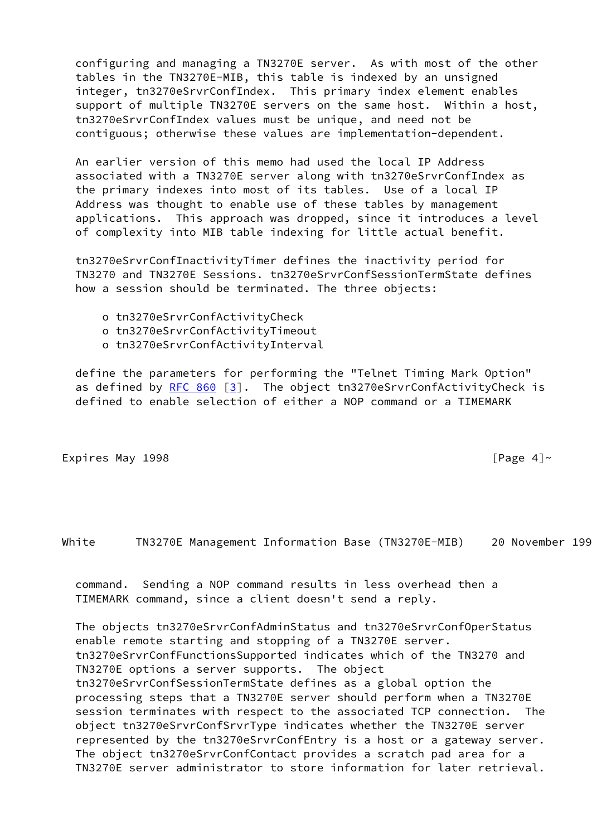configuring and managing a TN3270E server. As with most of the other tables in the TN3270E-MIB, this table is indexed by an unsigned integer, tn3270eSrvrConfIndex. This primary index element enables support of multiple TN3270E servers on the same host. Within a host, tn3270eSrvrConfIndex values must be unique, and need not be contiguous; otherwise these values are implementation-dependent.

 An earlier version of this memo had used the local IP Address associated with a TN3270E server along with tn3270eSrvrConfIndex as the primary indexes into most of its tables. Use of a local IP Address was thought to enable use of these tables by management applications. This approach was dropped, since it introduces a level of complexity into MIB table indexing for little actual benefit.

 tn3270eSrvrConfInactivityTimer defines the inactivity period for TN3270 and TN3270E Sessions. tn3270eSrvrConfSessionTermState defines how a session should be terminated. The three objects:

- o tn3270eSrvrConfActivityCheck
- o tn3270eSrvrConfActivityTimeout
- o tn3270eSrvrConfActivityInterval

 define the parameters for performing the "Telnet Timing Mark Option" as defined by  $RFC 860 [3]$  $RFC 860 [3]$ . The object tn3270eSrvrConfActivityCheck is defined to enable selection of either a NOP command or a TIMEMARK

Expires May 1998  $[Page 4]~$ 

White TN3270E Management Information Base (TN3270E-MIB) 20 November 199

 command. Sending a NOP command results in less overhead then a TIMEMARK command, since a client doesn't send a reply.

 The objects tn3270eSrvrConfAdminStatus and tn3270eSrvrConfOperStatus enable remote starting and stopping of a TN3270E server. tn3270eSrvrConfFunctionsSupported indicates which of the TN3270 and TN3270E options a server supports. The object tn3270eSrvrConfSessionTermState defines as a global option the processing steps that a TN3270E server should perform when a TN3270E session terminates with respect to the associated TCP connection. The object tn3270eSrvrConfSrvrType indicates whether the TN3270E server represented by the tn3270eSrvrConfEntry is a host or a gateway server. The object tn3270eSrvrConfContact provides a scratch pad area for a TN3270E server administrator to store information for later retrieval.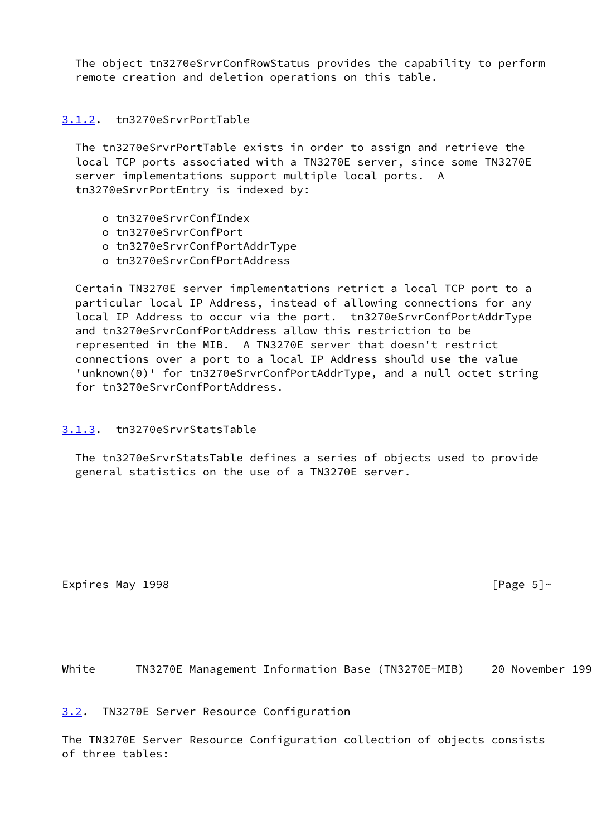The object tn3270eSrvrConfRowStatus provides the capability to perform remote creation and deletion operations on this table.

## <span id="page-5-0"></span>[3.1.2](#page-5-0). tn3270eSrvrPortTable

 The tn3270eSrvrPortTable exists in order to assign and retrieve the local TCP ports associated with a TN3270E server, since some TN3270E server implementations support multiple local ports. A tn3270eSrvrPortEntry is indexed by:

- o tn3270eSrvrConfIndex
- o tn3270eSrvrConfPort
- o tn3270eSrvrConfPortAddrType
- o tn3270eSrvrConfPortAddress

 Certain TN3270E server implementations retrict a local TCP port to a particular local IP Address, instead of allowing connections for any local IP Address to occur via the port. tn3270eSrvrConfPortAddrType and tn3270eSrvrConfPortAddress allow this restriction to be represented in the MIB. A TN3270E server that doesn't restrict connections over a port to a local IP Address should use the value 'unknown(0)' for tn3270eSrvrConfPortAddrType, and a null octet string for tn3270eSrvrConfPortAddress.

### <span id="page-5-1"></span>[3.1.3](#page-5-1). tn3270eSrvrStatsTable

 The tn3270eSrvrStatsTable defines a series of objects used to provide general statistics on the use of a TN3270E server.

Expires May 1998  $\blacksquare$ 

White TN3270E Management Information Base (TN3270E-MIB) 20 November 199

<span id="page-5-2"></span>[3.2](#page-5-2). TN3270E Server Resource Configuration

The TN3270E Server Resource Configuration collection of objects consists of three tables: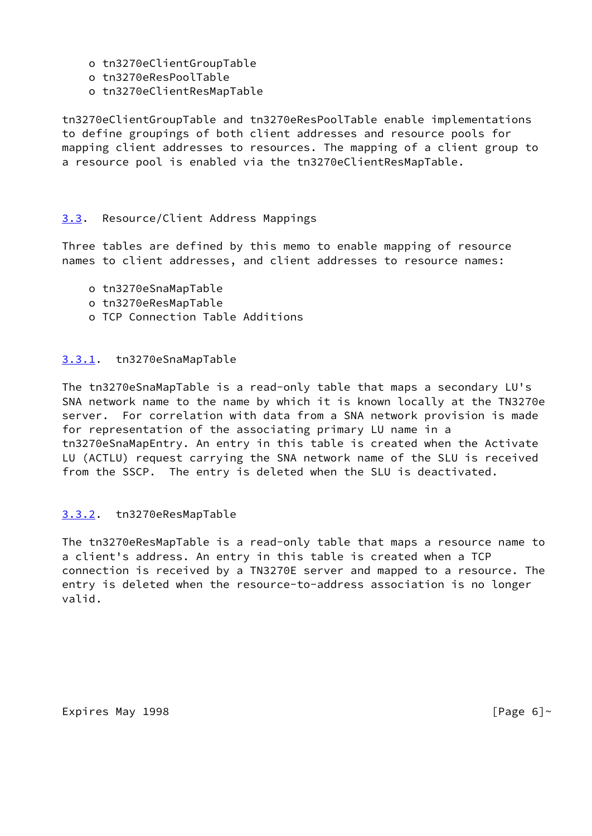- o tn3270eClientGroupTable
- o tn3270eResPoolTable
- o tn3270eClientResMapTable

tn3270eClientGroupTable and tn3270eResPoolTable enable implementations to define groupings of both client addresses and resource pools for mapping client addresses to resources. The mapping of a client group to a resource pool is enabled via the tn3270eClientResMapTable.

## <span id="page-6-0"></span>[3.3](#page-6-0). Resource/Client Address Mappings

Three tables are defined by this memo to enable mapping of resource names to client addresses, and client addresses to resource names:

- o tn3270eSnaMapTable
- o tn3270eResMapTable
- o TCP Connection Table Additions

### <span id="page-6-1"></span>[3.3.1](#page-6-1). tn3270eSnaMapTable

The tn3270eSnaMapTable is a read-only table that maps a secondary LU's SNA network name to the name by which it is known locally at the TN3270e server. For correlation with data from a SNA network provision is made for representation of the associating primary LU name in a tn3270eSnaMapEntry. An entry in this table is created when the Activate LU (ACTLU) request carrying the SNA network name of the SLU is received from the SSCP. The entry is deleted when the SLU is deactivated.

### <span id="page-6-2"></span>[3.3.2](#page-6-2). tn3270eResMapTable

The tn3270eResMapTable is a read-only table that maps a resource name to a client's address. An entry in this table is created when a TCP connection is received by a TN3270E server and mapped to a resource. The entry is deleted when the resource-to-address association is no longer valid.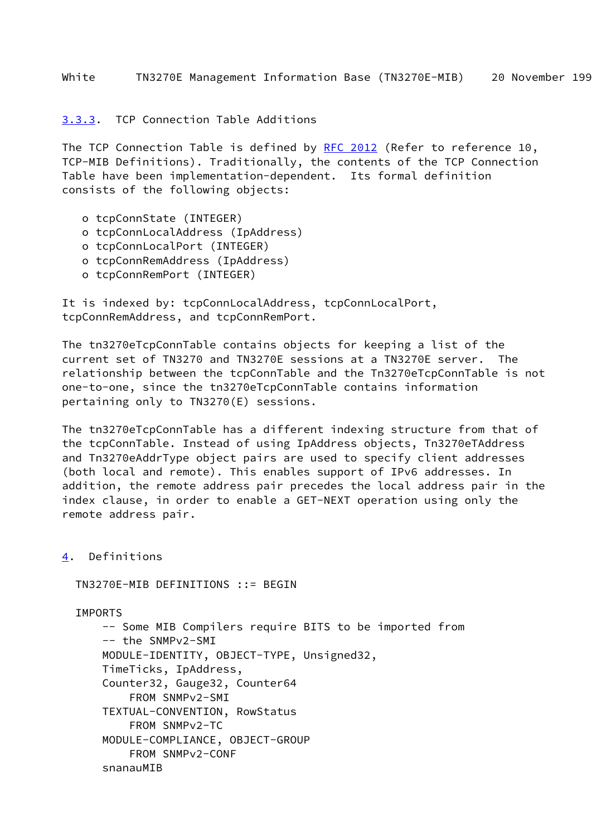<span id="page-7-0"></span>[3.3.3](#page-7-0). TCP Connection Table Additions

The TCP Connection Table is defined by [RFC 2012](https://datatracker.ietf.org/doc/pdf/rfc2012) (Refer to reference 10, TCP-MIB Definitions). Traditionally, the contents of the TCP Connection Table have been implementation-dependent. Its formal definition consists of the following objects:

- o tcpConnState (INTEGER)
- o tcpConnLocalAddress (IpAddress)
- o tcpConnLocalPort (INTEGER)
- o tcpConnRemAddress (IpAddress)
- o tcpConnRemPort (INTEGER)

It is indexed by: tcpConnLocalAddress, tcpConnLocalPort, tcpConnRemAddress, and tcpConnRemPort.

The tn3270eTcpConnTable contains objects for keeping a list of the current set of TN3270 and TN3270E sessions at a TN3270E server. The relationship between the tcpConnTable and the Tn3270eTcpConnTable is not one-to-one, since the tn3270eTcpConnTable contains information pertaining only to TN3270(E) sessions.

The tn3270eTcpConnTable has a different indexing structure from that of the tcpConnTable. Instead of using IpAddress objects, Tn3270eTAddress and Tn3270eAddrType object pairs are used to specify client addresses (both local and remote). This enables support of IPv6 addresses. In addition, the remote address pair precedes the local address pair in the index clause, in order to enable a GET-NEXT operation using only the remote address pair.

<span id="page-7-1"></span>[4](#page-7-1). Definitions

TN3270E-MIB DEFINITIONS ::= BEGIN

IMPORTS

 -- Some MIB Compilers require BITS to be imported from -- the SNMPv2-SMI MODULE-IDENTITY, OBJECT-TYPE, Unsigned32, TimeTicks, IpAddress, Counter32, Gauge32, Counter64 FROM SNMPv2-SMI TEXTUAL-CONVENTION, RowStatus FROM SNMPv2-TC MODULE-COMPLIANCE, OBJECT-GROUP FROM SNMPv2-CONF snanauMIB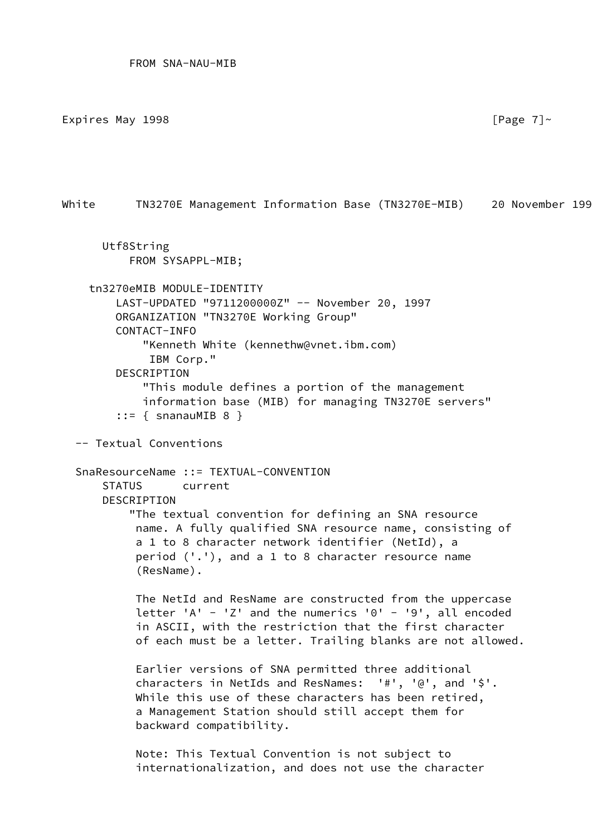Expires May 1998  $[$ Page 7 $]$ ~

White TN3270E Management Information Base (TN3270E-MIB) 20 November 199

```
 Utf8String
     FROM SYSAPPL-MIB;
```
-- Textual Conventions

```
 tn3270eMIB MODULE-IDENTITY
     LAST-UPDATED "9711200000Z" -- November 20, 1997
     ORGANIZATION "TN3270E Working Group"
     CONTACT-INFO
         "Kenneth White (kennethw@vnet.ibm.com)
          IBM Corp."
     DESCRIPTION
         "This module defines a portion of the management
         information base (MIB) for managing TN3270E servers"
    ::= { snanauMIB 8 }
```

```
 SnaResourceName ::= TEXTUAL-CONVENTION
     STATUS current
    DESCRIPTION
         "The textual convention for defining an SNA resource
          name. A fully qualified SNA resource name, consisting of
          a 1 to 8 character network identifier (NetId), a
          period ('.'), and a 1 to 8 character resource name
          (ResName).
```

```
 The NetId and ResName are constructed from the uppercase
letter 'A' - 'Z' and the numerics '0' - '9', all encoded
 in ASCII, with the restriction that the first character
 of each must be a letter. Trailing blanks are not allowed.
```

```
 Earlier versions of SNA permitted three additional
 characters in NetIds and ResNames: '#', '@', and '$'.
 While this use of these characters has been retired,
 a Management Station should still accept them for
 backward compatibility.
```
 Note: This Textual Convention is not subject to internationalization, and does not use the character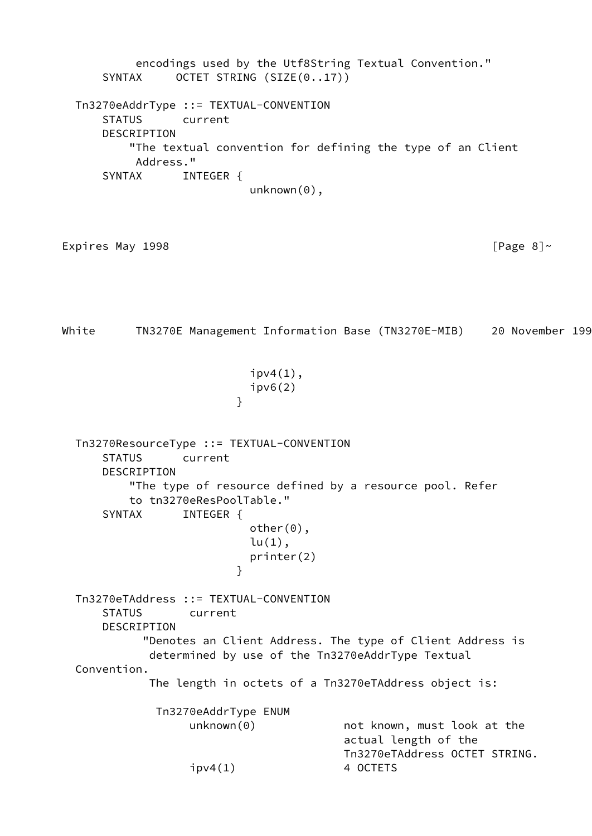encodings used by the Utf8String Textual Convention." SYNTAX OCTET STRING (SIZE(0..17)) Tn3270eAddrType ::= TEXTUAL-CONVENTION STATUS current DESCRIPTION "The textual convention for defining the type of an Client Address." SYNTAX INTEGER { unknown(0), Expires May 1998  $[Page 8]~$ White TN3270E Management Information Base (TN3270E-MIB) 20 November 199  $ipv4(1)$ , ipv6(2) } Tn3270ResourceType ::= TEXTUAL-CONVENTION STATUS current DESCRIPTION "The type of resource defined by a resource pool. Refer to tn3270eResPoolTable." SYNTAX INTEGER { other(0),  $lu(1)$ , printer(2) } Tn3270eTAddress ::= TEXTUAL-CONVENTION STATUS current DESCRIPTION "Denotes an Client Address. The type of Client Address is determined by use of the Tn3270eAddrType Textual Convention. The length in octets of a Tn3270eTAddress object is: Tn3270eAddrType ENUM unknown(0) mot known, must look at the actual length of the Tn3270eTAddress OCTET STRING.  $ipv4(1)$  4 OCTETS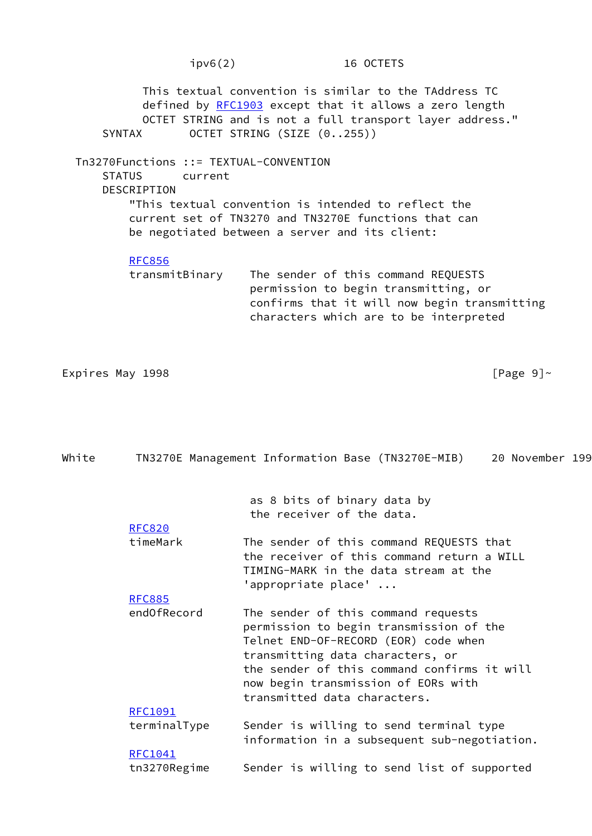ipv6(2) 16 OCTETS This textual convention is similar to the TAddress TC defined by [RFC1903](https://datatracker.ietf.org/doc/pdf/rfc1903) except that it allows a zero length OCTET STRING and is not a full transport layer address." SYNTAX OCTET STRING (SIZE (0..255)) Tn3270Functions ::= TEXTUAL-CONVENTION STATUS current **DESCRIPTION**  "This textual convention is intended to reflect the current set of TN3270 and TN3270E functions that can be negotiated between a server and its client: [RFC856](https://datatracker.ietf.org/doc/pdf/rfc856) transmitBinary The sender of this command REQUESTS permission to begin transmitting, or confirms that it will now begin transmitting characters which are to be interpreted

Expires May 1998  $[Page 9]~$ 

| <b>RFC820</b>  | as 8 bits of binary data by<br>the receiver of the data.                                                                                                                                                                                                                         |
|----------------|----------------------------------------------------------------------------------------------------------------------------------------------------------------------------------------------------------------------------------------------------------------------------------|
|                |                                                                                                                                                                                                                                                                                  |
| timeMark       | The sender of this command REQUESTS that<br>the receiver of this command return a WILL<br>TIMING-MARK in the data stream at the<br>'appropriate place' $\ldots$                                                                                                                  |
| <b>RFC885</b>  |                                                                                                                                                                                                                                                                                  |
| endOfRecord    | The sender of this command requests<br>permission to begin transmission of the<br>Telnet END-OF-RECORD (EOR) code when<br>transmitting data characters, or<br>the sender of this command confirms it will<br>now begin transmission of EORs with<br>transmitted data characters. |
| <b>RFC1091</b> |                                                                                                                                                                                                                                                                                  |
| terminalType   | Sender is willing to send terminal type<br>information in a subsequent sub-negotiation.                                                                                                                                                                                          |
| <b>RFC1041</b> |                                                                                                                                                                                                                                                                                  |
| tn3270Regime   | Sender is willing to send list of supported                                                                                                                                                                                                                                      |

White TN3270E Management Information Base (TN3270E-MIB) 20 November 199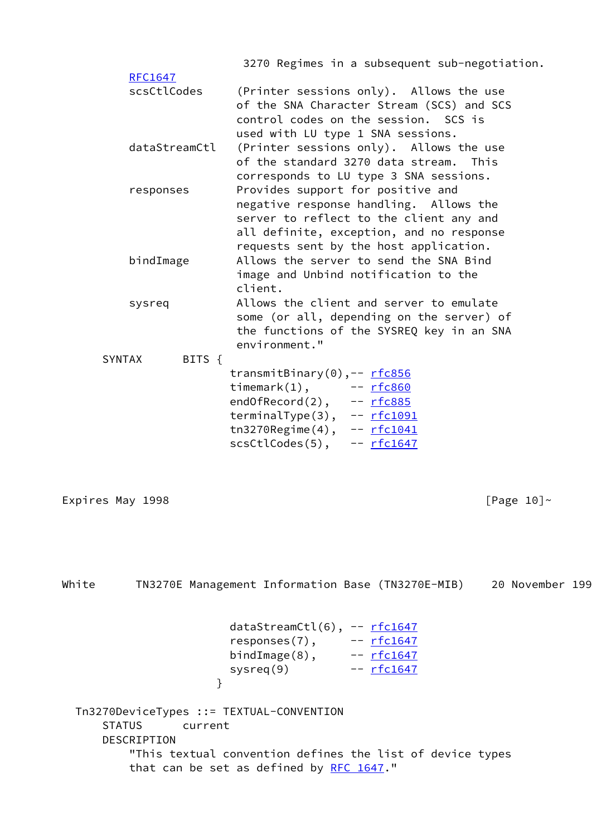|                         | 3270 Regimes in a subsequent sub-negotiation.                                                                                                                                                                |
|-------------------------|--------------------------------------------------------------------------------------------------------------------------------------------------------------------------------------------------------------|
| RFC1647<br>scsCtlCodes  | (Printer sessions only). Allows the use<br>of the SNA Character Stream (SCS) and SCS<br>control codes on the session. SCS is<br>used with LU type 1 SNA sessions.                                            |
| dataStreamCtl           | (Printer sessions only). Allows the use<br>of the standard 3270 data stream. This<br>corresponds to LU type 3 SNA sessions.                                                                                  |
| responses               | Provides support for positive and<br>negative response handling. Allows the<br>server to reflect to the client any and<br>all definite, exception, and no response<br>requests sent by the host application. |
| bindImage               | Allows the server to send the SNA Bind<br>image and Unbind notification to the<br>client.                                                                                                                    |
| sysreq                  | Allows the client and server to emulate<br>some (or all, depending on the server) of<br>the functions of the SYSREQ key in an SNA<br>environment."                                                           |
| <b>SYNTAX</b><br>BITS { | transmitBinary(0),-- rfc856<br>timemark $(1)$ ,<br>$- rfc860$<br>endOfRecord(2), -- rfc885<br>terminalType(3), -- rfc1091<br>$tn3270$ Regime $(4)$ , -- $rfc1041$<br>scsCtlCodes(5),<br>-- <u>rfc1647</u>    |
| Expires May 1998        | [Page $10$ ]~                                                                                                                                                                                                |

White TN3270E Management Information Base (TN3270E-MIB) 20 November 199 dataStreamCtl(6), -- [rfc1647](https://datatracker.ietf.org/doc/pdf/rfc1647) responses(7), -- [rfc1647](https://datatracker.ietf.org/doc/pdf/rfc1647) bindImage(8), -- [rfc1647](https://datatracker.ietf.org/doc/pdf/rfc1647) sysreq(9) -- [rfc1647](https://datatracker.ietf.org/doc/pdf/rfc1647) } Tn3270DeviceTypes ::= TEXTUAL-CONVENTION STATUS current DESCRIPTION "This textual convention defines the list of device types that can be set as defined by [RFC 1647](https://datatracker.ietf.org/doc/pdf/rfc1647)."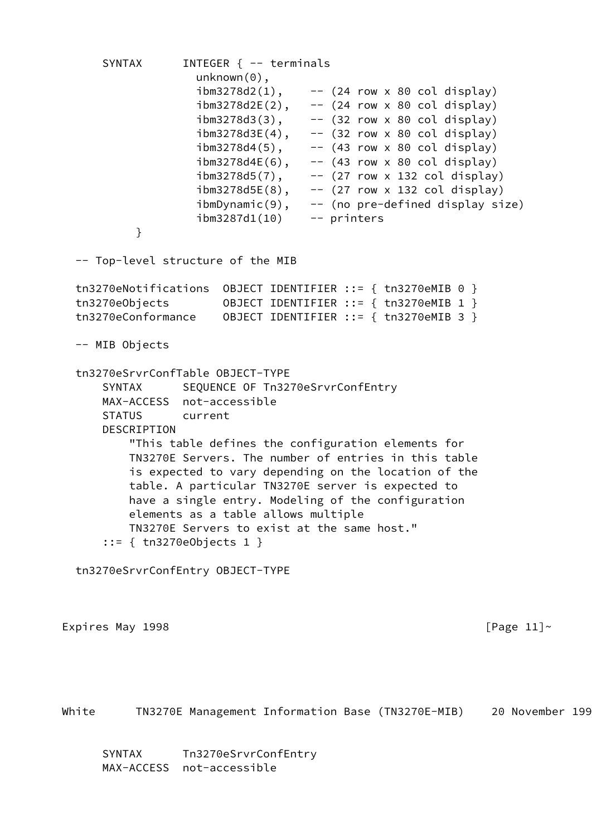```
SYNTAX INTEGER { -- terminals
                  unknown(0),
                 ibm3278d2(1), -- (24 row × 80 col display)ibm3278d2E(2), -- (24 row x 80 col display)
                 ibm3278d3(3), -- (32 row x 80 col display)
                 ibm3278d3E(4), -- (32 row x 80 col display)
 ibm3278d4(5), -- (43 row x 80 col display)
 ibm3278d4E(6), -- (43 row x 80 col display)
 ibm3278d5(7), -- (27 row x 132 col display)
 ibm3278d5E(8), -- (27 row x 132 col display)
 ibmDynamic(9), -- (no pre-defined display size)
 ibm3287d1(10) -- printers
 }
  -- Top-level structure of the MIB
  tn3270eNotifications OBJECT IDENTIFIER ::= { tn3270eMIB 0 }
  tn3270eObjects OBJECT IDENTIFIER ::= { tn3270eMIB 1 }
  tn3270eConformance OBJECT IDENTIFIER ::= { tn3270eMIB 3 }
  -- MIB Objects
  tn3270eSrvrConfTable OBJECT-TYPE
     SYNTAX SEQUENCE OF Tn3270eSrvrConfEntry
      MAX-ACCESS not-accessible
      STATUS current
      DESCRIPTION
         "This table defines the configuration elements for
         TN3270E Servers. The number of entries in this table
         is expected to vary depending on the location of the
         table. A particular TN3270E server is expected to
         have a single entry. Modeling of the configuration
         elements as a table allows multiple
         TN3270E Servers to exist at the same host."
      ::= { tn3270eObjects 1 }
  tn3270eSrvrConfEntry OBJECT-TYPE
Expires May 1998 \blacksquare
```
White TN3270E Management Information Base (TN3270E-MIB) 20 November 199

 SYNTAX Tn3270eSrvrConfEntry MAX-ACCESS not-accessible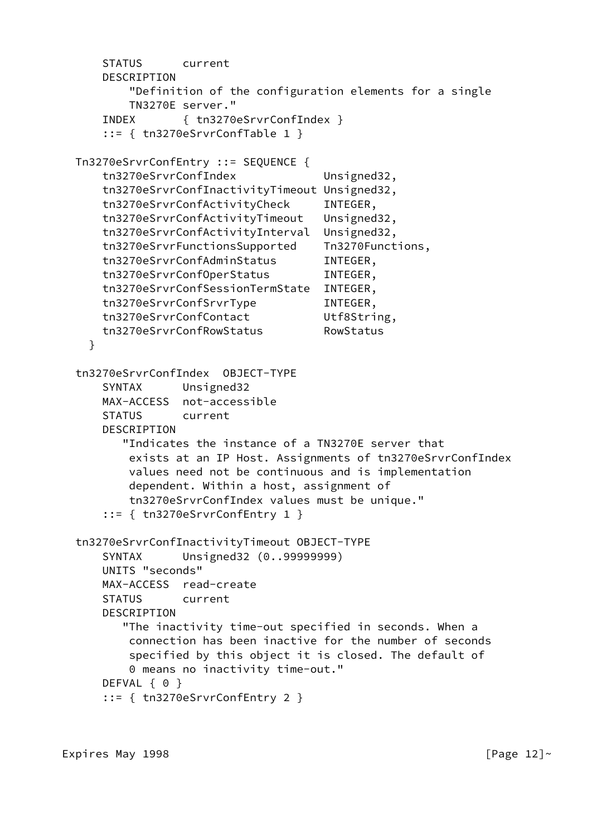```
 STATUS current
     DESCRIPTION
        "Definition of the configuration elements for a single
        TN3270E server."
     INDEX { tn3270eSrvrConfIndex }
     ::= { tn3270eSrvrConfTable 1 }
 Tn3270eSrvrConfEntry ::= SEQUENCE {
     tn3270eSrvrConfIndex Unsigned32,
     tn3270eSrvrConfInactivityTimeout Unsigned32,
     tn3270eSrvrConfActivityCheck INTEGER,
     tn3270eSrvrConfActivityTimeout Unsigned32,
     tn3270eSrvrConfActivityInterval Unsigned32,
     tn3270eSrvrFunctionsSupported Tn3270Functions,
     tn3270eSrvrConfAdminStatus INTEGER,
     tn3270eSrvrConfOperStatus INTEGER,
     tn3270eSrvrConfSessionTermState INTEGER,
    tn3270eSrvrConfSrvrType INTEGER,
    tn3270eSrvrConfContact Utf8String,
    tn3270eSrvrConfRowStatus RowStatus
   }
 tn3270eSrvrConfIndex OBJECT-TYPE
     SYNTAX Unsigned32
    MAX-ACCESS not-accessible
    STATUS current
    DESCRIPTION
        "Indicates the instance of a TN3270E server that
        exists at an IP Host. Assignments of tn3270eSrvrConfIndex
        values need not be continuous and is implementation
        dependent. Within a host, assignment of
        tn3270eSrvrConfIndex values must be unique."
     ::= { tn3270eSrvrConfEntry 1 }
 tn3270eSrvrConfInactivityTimeout OBJECT-TYPE
     SYNTAX Unsigned32 (0..99999999)
    UNITS "seconds"
    MAX-ACCESS read-create
    STATUS current
     DESCRIPTION
        "The inactivity time-out specified in seconds. When a
        connection has been inactive for the number of seconds
        specified by this object it is closed. The default of
        0 means no inactivity time-out."
   DEFVAL { 0 }
     ::= { tn3270eSrvrConfEntry 2 }
```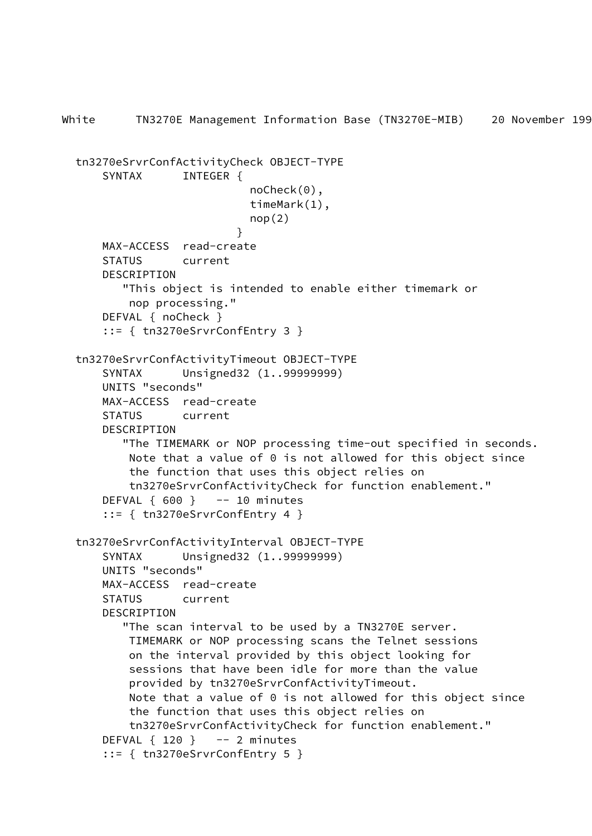```
White TN3270E Management Information Base (TN3270E-MIB) 20 November 199
  tn3270eSrvrConfActivityCheck OBJECT-TYPE
      SYNTAX INTEGER {
                            noCheck(0),
                            timeMark(1),
                           nop(2) }
      MAX-ACCESS read-create
      STATUS current
      DESCRIPTION
          "This object is intended to enable either timemark or
          nop processing."
      DEFVAL { noCheck }
       ::= { tn3270eSrvrConfEntry 3 }
  tn3270eSrvrConfActivityTimeout OBJECT-TYPE
       SYNTAX Unsigned32 (1..99999999)
      UNITS "seconds"
      MAX-ACCESS read-create
      STATUS current
      DESCRIPTION
          "The TIMEMARK or NOP processing time-out specified in seconds.
          Note that a value of 0 is not allowed for this object since
          the function that uses this object relies on
           tn3270eSrvrConfActivityCheck for function enablement."
     DEFVAL \{600\} -- 10 minutes
       ::= { tn3270eSrvrConfEntry 4 }
  tn3270eSrvrConfActivityInterval OBJECT-TYPE
       SYNTAX Unsigned32 (1..99999999)
      UNITS "seconds"
      MAX-ACCESS read-create
      STATUS current
       DESCRIPTION
          "The scan interval to be used by a TN3270E server.
          TIMEMARK or NOP processing scans the Telnet sessions
          on the interval provided by this object looking for
           sessions that have been idle for more than the value
          provided by tn3270eSrvrConfActivityTimeout.
          Note that a value of 0 is not allowed for this object since
          the function that uses this object relies on
          tn3270eSrvrConfActivityCheck for function enablement."
     DEFVAL \{ 120 \} -- 2 minutes
       ::= { tn3270eSrvrConfEntry 5 }
```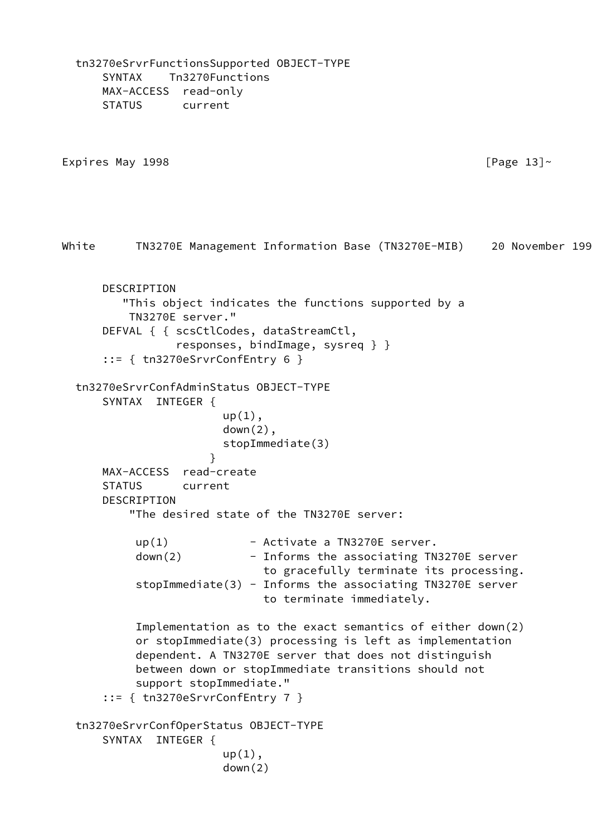SYNTAX Tn3270Functions MAX-ACCESS read-only STATUS current Expires May 1998  $\blacksquare$ White TN3270E Management Information Base (TN3270E-MIB) 20 November 199 DESCRIPTION "This object indicates the functions supported by a TN3270E server." DEFVAL { { scsCtlCodes, dataStreamCtl, responses, bindImage, sysreq } } ::= { tn3270eSrvrConfEntry 6 } tn3270eSrvrConfAdminStatus OBJECT-TYPE SYNTAX INTEGER {  $up(1)$ , down(2), stopImmediate(3) } MAX-ACCESS read-create STATUS current DESCRIPTION "The desired state of the TN3270E server:  $up(1)$  - Activate a TN3270E server. down(2) - Informs the associating TN3270E server to gracefully terminate its processing. stopImmediate(3) - Informs the associating TN3270E server to terminate immediately. Implementation as to the exact semantics of either down(2) or stopImmediate(3) processing is left as implementation dependent. A TN3270E server that does not distinguish between down or stopImmediate transitions should not support stopImmediate." ::= { tn3270eSrvrConfEntry 7 } tn3270eSrvrConfOperStatus OBJECT-TYPE SYNTAX INTEGER {  $up(1)$ , down(2)

tn3270eSrvrFunctionsSupported OBJECT-TYPE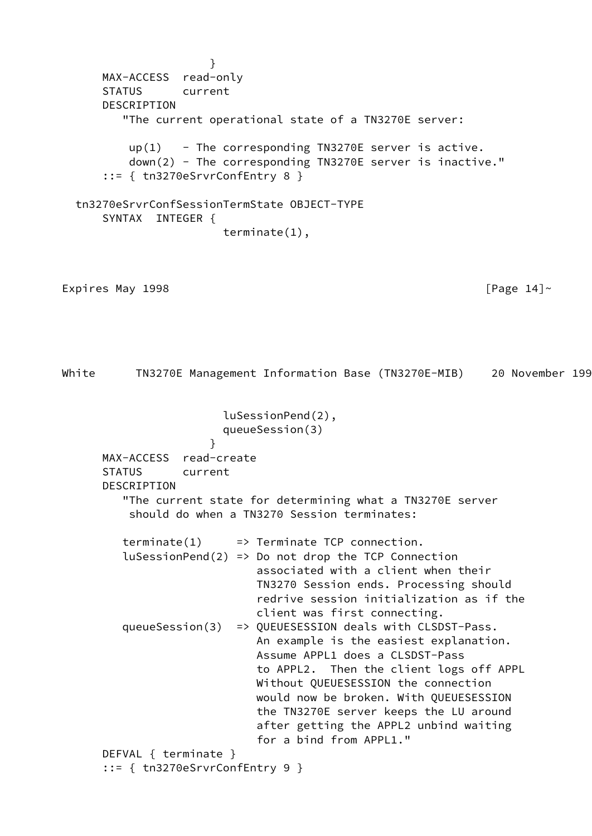} MAX-ACCESS read-only STATUS current DESCRIPTION "The current operational state of a TN3270E server:  $up(1)$  - The corresponding TN3270E server is active. down(2) - The corresponding TN3270E server is inactive." ::= { tn3270eSrvrConfEntry 8 } tn3270eSrvrConfSessionTermState OBJECT-TYPE SYNTAX INTEGER { terminate(1), Expires May 1998  $[$ Page 14] $\sim$ White TN3270E Management Information Base (TN3270E-MIB) 20 November 199 luSessionPend(2), queueSession(3) } MAX-ACCESS read-create STATUS current DESCRIPTION "The current state for determining what a TN3270E server should do when a TN3270 Session terminates:  $\text{terminate}(1) \implies \text{Terminate TCP connection.}$  $l$ uSessionPend(2) => Do not drop the TCP Connection associated with a client when their TN3270 Session ends. Processing should redrive session initialization as if the client was first connecting. queueSession(3) => QUEUESESSION deals with CLSDST-Pass. An example is the easiest explanation. Assume APPL1 does a CLSDST-Pass to APPL2. Then the client logs off APPL Without QUEUESESSION the connection would now be broken. With QUEUESESSION the TN3270E server keeps the LU around after getting the APPL2 unbind waiting for a bind from APPL1." DEFVAL { terminate } ::= { tn3270eSrvrConfEntry 9 }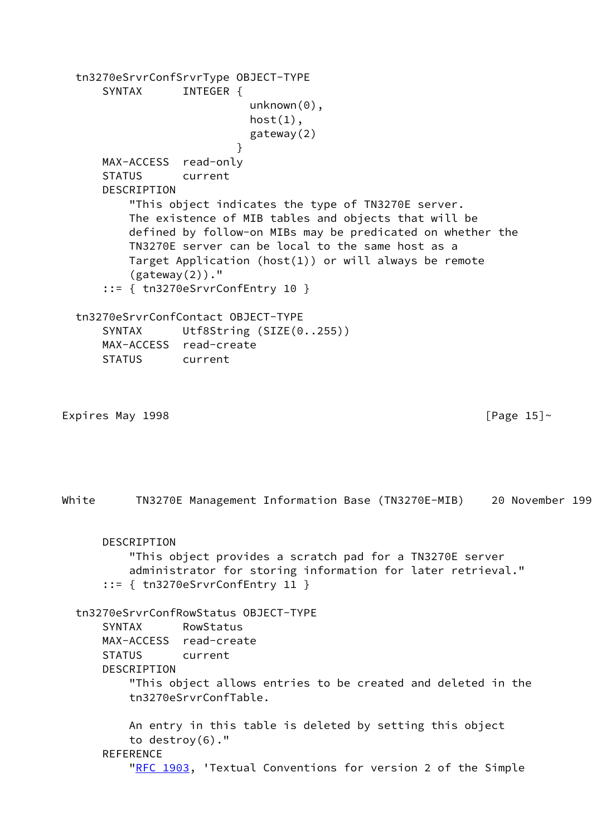tn3270eSrvrConfSrvrType OBJECT-TYPE SYNTAX INTEGER { unknown(0),  $host(1)$ , gateway(2) } MAX-ACCESS read-only STATUS current **DESCRIPTION**  "This object indicates the type of TN3270E server. The existence of MIB tables and objects that will be defined by follow-on MIBs may be predicated on whether the TN3270E server can be local to the same host as a Target Application (host(1)) or will always be remote  $(gateway(2))$ ." ::= { tn3270eSrvrConfEntry 10 } tn3270eSrvrConfContact OBJECT-TYPE SYNTAX Utf8String (SIZE(0..255)) MAX-ACCESS read-create STATUS current Expires May 1998  $[Page 15]~$ White TN3270E Management Information Base (TN3270E-MIB) 20 November 199 DESCRIPTION "This object provides a scratch pad for a TN3270E server administrator for storing information for later retrieval." ::= { tn3270eSrvrConfEntry 11 } tn3270eSrvrConfRowStatus OBJECT-TYPE SYNTAX RowStatus MAX-ACCESS read-create STATUS current DESCRIPTION "This object allows entries to be created and deleted in the tn3270eSrvrConfTable. An entry in this table is deleted by setting this object to destroy(6)." REFERENCE ["RFC 1903](https://datatracker.ietf.org/doc/pdf/rfc1903), 'Textual Conventions for version 2 of the Simple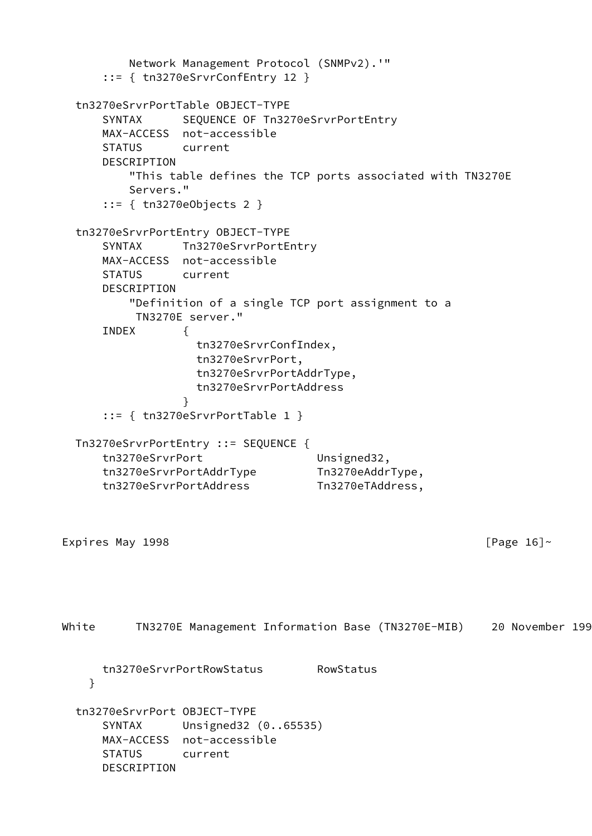```
 Network Management Protocol (SNMPv2).'"
      ::= { tn3270eSrvrConfEntry 12 }
  tn3270eSrvrPortTable OBJECT-TYPE
     SYNTAX SEQUENCE OF Tn3270eSrvrPortEntry
      MAX-ACCESS not-accessible
      STATUS current
      DESCRIPTION
          "This table defines the TCP ports associated with TN3270E
          Servers."
      ::= { tn3270eObjects 2 }
  tn3270eSrvrPortEntry OBJECT-TYPE
      SYNTAX Tn3270eSrvrPortEntry
      MAX-ACCESS not-accessible
      STATUS current
      DESCRIPTION
          "Definition of a single TCP port assignment to a
          TN3270E server."
      INDEX {
                   tn3270eSrvrConfIndex,
                   tn3270eSrvrPort,
                   tn3270eSrvrPortAddrType,
                   tn3270eSrvrPortAddress
 }
      ::= { tn3270eSrvrPortTable 1 }
  Tn3270eSrvrPortEntry ::= SEQUENCE {
     tn3270eSrvrPort Unsigned32,
      tn3270eSrvrPortAddrType Tn3270eAddrType,
      tn3270eSrvrPortAddress Tn3270eTAddress,
Expires May 1998 [Page 16]~White TN3270E Management Information Base (TN3270E-MIB) 20 November 199
      tn3270eSrvrPortRowStatus RowStatus
    }
  tn3270eSrvrPort OBJECT-TYPE
      SYNTAX Unsigned32 (0..65535)
      MAX-ACCESS not-accessible
      STATUS current
      DESCRIPTION
```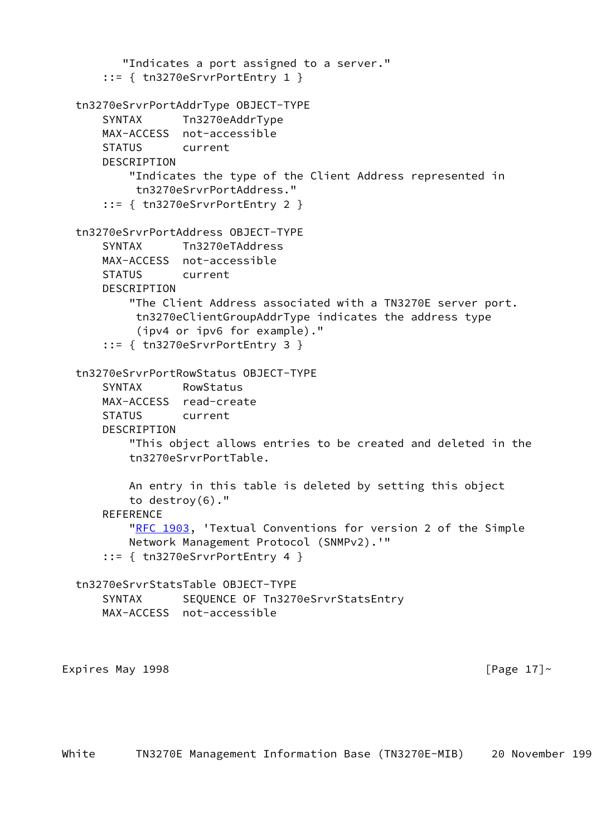"Indicates a port assigned to a server." ::= { tn3270eSrvrPortEntry 1 } tn3270eSrvrPortAddrType OBJECT-TYPE SYNTAX Tn3270eAddrType MAX-ACCESS not-accessible STATUS current DESCRIPTION "Indicates the type of the Client Address represented in tn3270eSrvrPortAddress." ::= { tn3270eSrvrPortEntry 2 } tn3270eSrvrPortAddress OBJECT-TYPE SYNTAX Tn3270eTAddress MAX-ACCESS not-accessible STATUS current DESCRIPTION "The Client Address associated with a TN3270E server port. tn3270eClientGroupAddrType indicates the address type (ipv4 or ipv6 for example)." ::= { tn3270eSrvrPortEntry 3 } tn3270eSrvrPortRowStatus OBJECT-TYPE SYNTAX RowStatus MAX-ACCESS read-create STATUS current DESCRIPTION "This object allows entries to be created and deleted in the tn3270eSrvrPortTable. An entry in this table is deleted by setting this object to destroy(6)." **REFERENCE** ["RFC 1903](https://datatracker.ietf.org/doc/pdf/rfc1903), 'Textual Conventions for version 2 of the Simple Network Management Protocol (SNMPv2).'" ::= { tn3270eSrvrPortEntry 4 } tn3270eSrvrStatsTable OBJECT-TYPE SYNTAX SEQUENCE OF Tn3270eSrvrStatsEntry MAX-ACCESS not-accessible Expires May 1998  $[Page 17]~$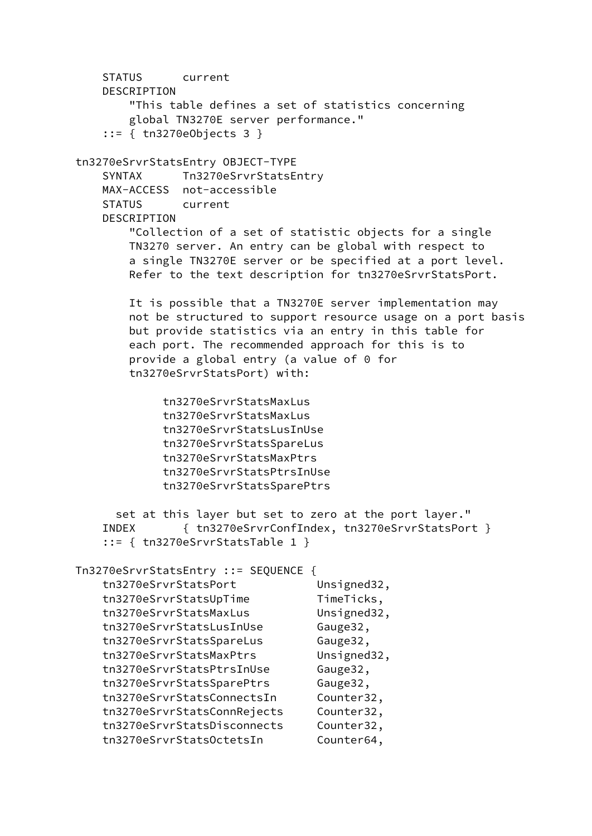STATUS current DESCRIPTION "This table defines a set of statistics concerning global TN3270E server performance." ::= { tn3270eObjects 3 } tn3270eSrvrStatsEntry OBJECT-TYPE SYNTAX Tn3270eSrvrStatsEntry MAX-ACCESS not-accessible STATUS current DESCRIPTION "Collection of a set of statistic objects for a single TN3270 server. An entry can be global with respect to a single TN3270E server or be specified at a port level. Refer to the text description for tn3270eSrvrStatsPort. It is possible that a TN3270E server implementation may not be structured to support resource usage on a port basis but provide statistics via an entry in this table for each port. The recommended approach for this is to provide a global entry (a value of 0 for tn3270eSrvrStatsPort) with: tn3270eSrvrStatsMaxLus tn3270eSrvrStatsMaxLus tn3270eSrvrStatsLusInUse tn3270eSrvrStatsSpareLus tn3270eSrvrStatsMaxPtrs tn3270eSrvrStatsPtrsInUse tn3270eSrvrStatsSparePtrs set at this layer but set to zero at the port layer." INDEX { tn3270eSrvrConfIndex, tn3270eSrvrStatsPort } ::= { tn3270eSrvrStatsTable 1 } Tn3270eSrvrStatsEntry ::= SEQUENCE { tn3270eSrvrStatsPort Unsigned32, tn3270eSrvrStatsUpTime TimeTicks, tn3270eSrvrStatsMaxLus Unsigned32, tn3270eSrvrStatsLusInUse Gauge32, tn3270eSrvrStatsSpareLus Gauge32, tn3270eSrvrStatsMaxPtrs Unsigned32, tn3270eSrvrStatsPtrsInUse Gauge32, tn3270eSrvrStatsSparePtrs Gauge32, tn3270eSrvrStatsConnectsIn Counter32, tn3270eSrvrStatsConnRejects Counter32, tn3270eSrvrStatsDisconnects Counter32, tn3270eSrvrStatsOctetsIn Counter64,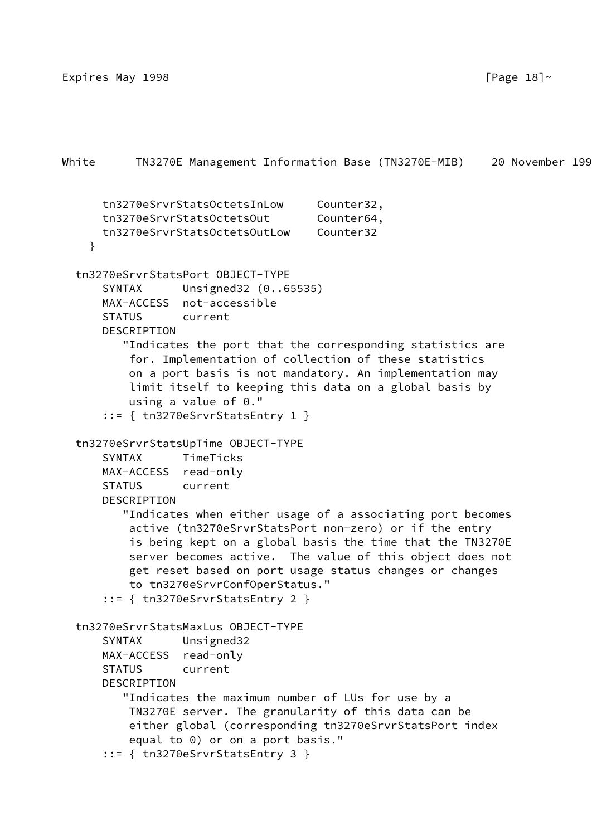```
White TN3270E Management Information Base (TN3270E-MIB) 20 November 199
       tn3270eSrvrStatsOctetsInLow Counter32,
      tn3270eSrvrStatsOctetsOut Counter64,
      tn3270eSrvrStatsOctetsOutLow Counter32
     }
   tn3270eSrvrStatsPort OBJECT-TYPE
       SYNTAX Unsigned32 (0..65535)
      MAX-ACCESS not-accessible
       STATUS current
       DESCRIPTION
          "Indicates the port that the corresponding statistics are
           for. Implementation of collection of these statistics
           on a port basis is not mandatory. An implementation may
           limit itself to keeping this data on a global basis by
           using a value of 0."
       ::= { tn3270eSrvrStatsEntry 1 }
   tn3270eSrvrStatsUpTime OBJECT-TYPE
       SYNTAX TimeTicks
      MAX-ACCESS read-only
       STATUS current
      DESCRIPTION
          "Indicates when either usage of a associating port becomes
           active (tn3270eSrvrStatsPort non-zero) or if the entry
           is being kept on a global basis the time that the TN3270E
           server becomes active. The value of this object does not
           get reset based on port usage status changes or changes
           to tn3270eSrvrConfOperStatus."
       ::= { tn3270eSrvrStatsEntry 2 }
   tn3270eSrvrStatsMaxLus OBJECT-TYPE
       SYNTAX Unsigned32
      MAX-ACCESS read-only
       STATUS current
      DESCRIPTION
          "Indicates the maximum number of LUs for use by a
          TN3270E server. The granularity of this data can be
           either global (corresponding tn3270eSrvrStatsPort index
           equal to 0) or on a port basis."
       ::= { tn3270eSrvrStatsEntry 3 }
```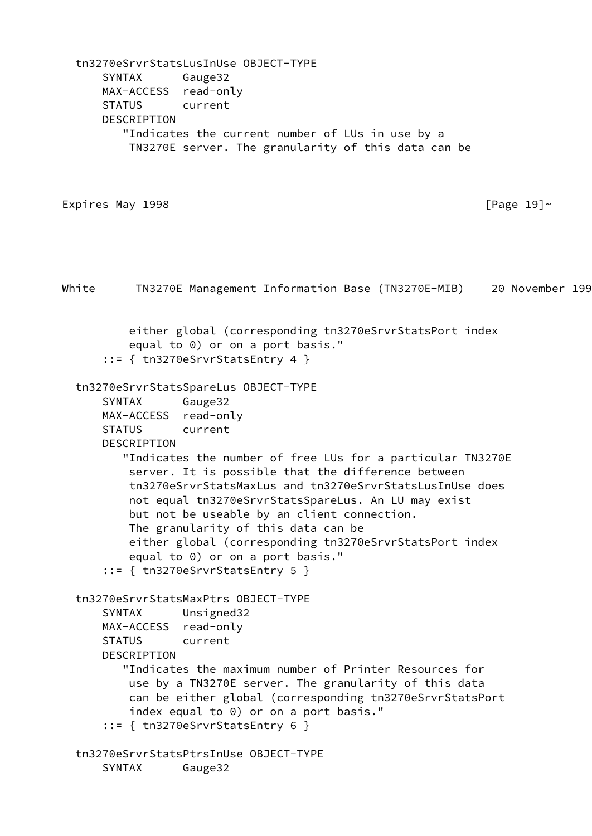tn3270eSrvrStatsLusInUse OBJECT-TYPE SYNTAX Gauge32 MAX-ACCESS read-only STATUS current DESCRIPTION "Indicates the current number of LUs in use by a TN3270E server. The granularity of this data can be Expires May 1998  $\sqrt{P\cdot P}$ White TN3270E Management Information Base (TN3270E-MIB) 20 November 199 either global (corresponding tn3270eSrvrStatsPort index equal to 0) or on a port basis." ::= { tn3270eSrvrStatsEntry 4 } tn3270eSrvrStatsSpareLus OBJECT-TYPE SYNTAX Gauge32 MAX-ACCESS read-only STATUS current DESCRIPTION "Indicates the number of free LUs for a particular TN3270E server. It is possible that the difference between tn3270eSrvrStatsMaxLus and tn3270eSrvrStatsLusInUse does not equal tn3270eSrvrStatsSpareLus. An LU may exist but not be useable by an client connection. The granularity of this data can be either global (corresponding tn3270eSrvrStatsPort index equal to 0) or on a port basis." ::= { tn3270eSrvrStatsEntry 5 } tn3270eSrvrStatsMaxPtrs OBJECT-TYPE SYNTAX Unsigned32 MAX-ACCESS read-only STATUS current DESCRIPTION "Indicates the maximum number of Printer Resources for use by a TN3270E server. The granularity of this data can be either global (corresponding tn3270eSrvrStatsPort index equal to 0) or on a port basis." ::= { tn3270eSrvrStatsEntry 6 } tn3270eSrvrStatsPtrsInUse OBJECT-TYPE SYNTAX Gauge32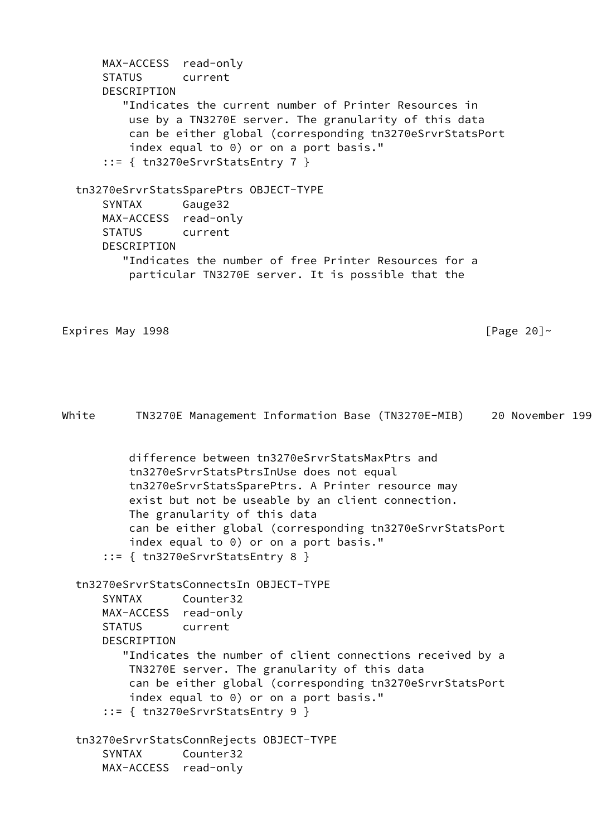```
 MAX-ACCESS read-only
       STATUS current
       DESCRIPTION
           "Indicates the current number of Printer Resources in
            use by a TN3270E server. The granularity of this data
            can be either global (corresponding tn3270eSrvrStatsPort
            index equal to 0) or on a port basis."
        ::= { tn3270eSrvrStatsEntry 7 }
   tn3270eSrvrStatsSparePtrs OBJECT-TYPE
       SYNTAX Gauge32
       MAX-ACCESS read-only
       STATUS current
       DESCRIPTION
           "Indicates the number of free Printer Resources for a
            particular TN3270E server. It is possible that the
Expires May 1998 \sqrt{2} and \sqrt{2} and \sqrt{2} and \sqrt{2} and \sqrt{2} and \sqrt{2} and \sqrt{2} and \sqrt{2} and \sqrt{2} and \sqrt{2} and \sqrt{2} and \sqrt{2} and \sqrt{2} and \sqrt{2} and \sqrt{2} and \sqrt{2} and \sqrt{2} and 
White TN3270E Management Information Base (TN3270E-MIB) 20 November 199
            difference between tn3270eSrvrStatsMaxPtrs and
            tn3270eSrvrStatsPtrsInUse does not equal
            tn3270eSrvrStatsSparePtrs. A Printer resource may
            exist but not be useable by an client connection.
            The granularity of this data
            can be either global (corresponding tn3270eSrvrStatsPort
            index equal to 0) or on a port basis."
       ::= { tn3270eSrvrStatsEntry 8 }
   tn3270eSrvrStatsConnectsIn OBJECT-TYPE
       SYNTAX Counter32
       MAX-ACCESS read-only
       STATUS current
       DESCRIPTION
           "Indicates the number of client connections received by a
            TN3270E server. The granularity of this data
            can be either global (corresponding tn3270eSrvrStatsPort
            index equal to 0) or on a port basis."
       ::= { tn3270eSrvrStatsEntry 9 }
   tn3270eSrvrStatsConnRejects OBJECT-TYPE
       SYNTAX Counter32
       MAX-ACCESS read-only
```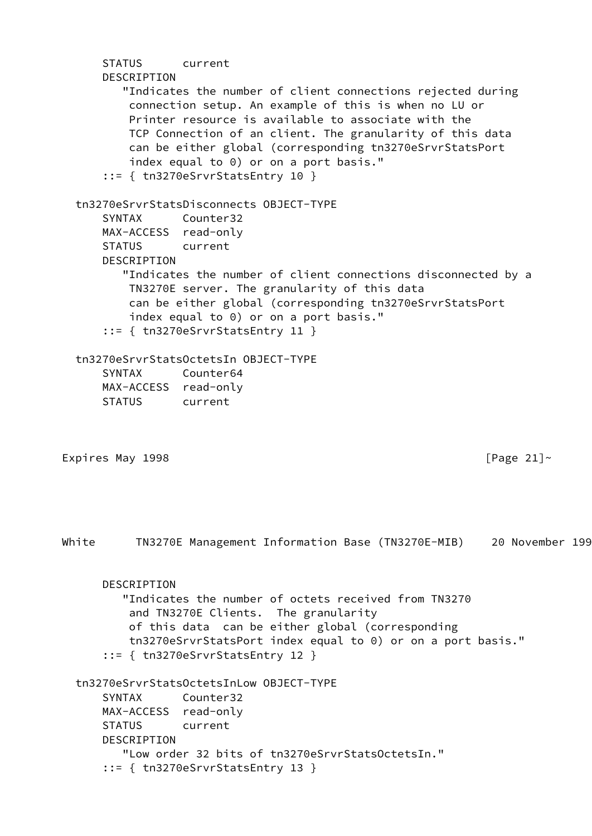| DESCRIPTION                                                           | current<br>"Indicates the number of client connections rejected during<br>connection setup. An example of this is when no LU or<br>Printer resource is available to associate with the<br>TCP Connection of an client. The granularity of this data<br>can be either global (corresponding tn3270eSrvrStatsPort<br>index equal to 0) or on a port basis."<br>$::=$ { tn3270eSrvrStatsEntry 10 } |               |
|-----------------------------------------------------------------------|-------------------------------------------------------------------------------------------------------------------------------------------------------------------------------------------------------------------------------------------------------------------------------------------------------------------------------------------------------------------------------------------------|---------------|
| <b>SYNTAX</b><br>MAX-ACCESS read-only<br><b>STATUS</b><br>DESCRIPTION | tn3270eSrvrStatsDisconnects 0BJECT-TYPE<br>Counter32<br>current<br>"Indicates the number of client connections disconnected by a<br>TN3270E server. The granularity of this data<br>can be either global (corresponding tn3270eSrvrStatsPort<br>index equal to 0) or on a port basis."<br>$::=$ { tn3270eSrvrStatsEntry 11 }                                                                    |               |
| <b>SYNTAX</b><br>MAX-ACCESS read-only<br><b>STATUS</b>                | tn3270eSrvrStatsOctetsIn OBJECT-TYPE<br>Counter64<br>current                                                                                                                                                                                                                                                                                                                                    |               |
| Expires May 1998                                                      |                                                                                                                                                                                                                                                                                                                                                                                                 | [Page $21$ ]~ |
|                                                                       |                                                                                                                                                                                                                                                                                                                                                                                                 |               |
| White                                                                 | TN3270E Management Information Base (TN3270E-MIB) 20 November 199                                                                                                                                                                                                                                                                                                                               |               |
| DESCRIPTION                                                           | "Indicates the number of octets received from TN3270<br>and TN3270E Clients. The granularity<br>of this data can be either global (corresponding<br>tn3270eSrvrStatsPort index equal to 0) or on a port basis."<br>$::=$ { tn3270eSrvrStatsEntry 12 }                                                                                                                                           |               |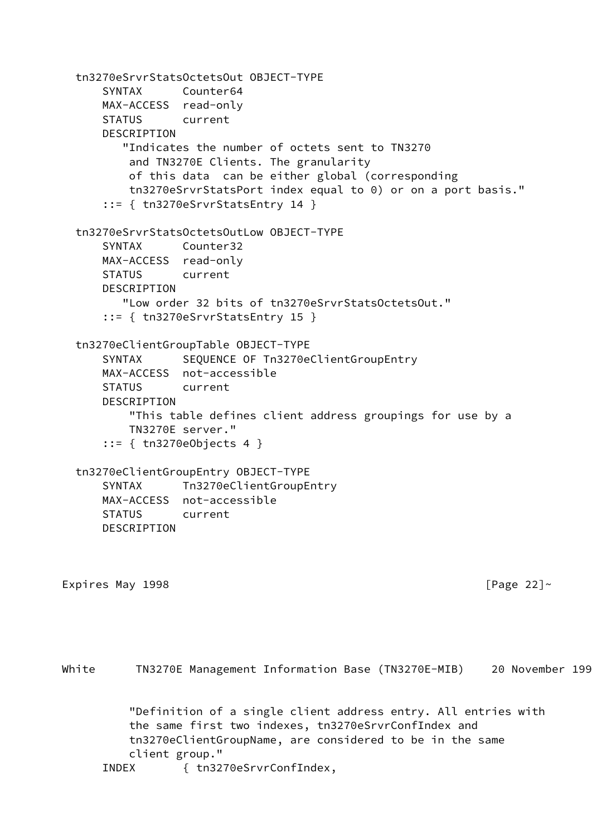tn3270eSrvrStatsOctetsOut OBJECT-TYPE SYNTAX Counter64 MAX-ACCESS read-only STATUS current DESCRIPTION "Indicates the number of octets sent to TN3270 and TN3270E Clients. The granularity of this data can be either global (corresponding tn3270eSrvrStatsPort index equal to 0) or on a port basis." ::= { tn3270eSrvrStatsEntry 14 } tn3270eSrvrStatsOctetsOutLow OBJECT-TYPE SYNTAX Counter32 MAX-ACCESS read-only STATUS current DESCRIPTION "Low order 32 bits of tn3270eSrvrStatsOctetsOut." ::= { tn3270eSrvrStatsEntry 15 } tn3270eClientGroupTable OBJECT-TYPE SYNTAX SEQUENCE OF Tn3270eClientGroupEntry MAX-ACCESS not-accessible STATUS current DESCRIPTION "This table defines client address groupings for use by a TN3270E server." ::= { tn3270eObjects 4 } tn3270eClientGroupEntry OBJECT-TYPE SYNTAX Tn3270eClientGroupEntry MAX-ACCESS not-accessible STATUS current DESCRIPTION Expires May 1998  $\blacksquare$ White TN3270E Management Information Base (TN3270E-MIB) 20 November 199 "Definition of a single client address entry. All entries with the same first two indexes, tn3270eSrvrConfIndex and tn3270eClientGroupName, are considered to be in the same

```
 client group."
```
INDEX { tn3270eSrvrConfIndex,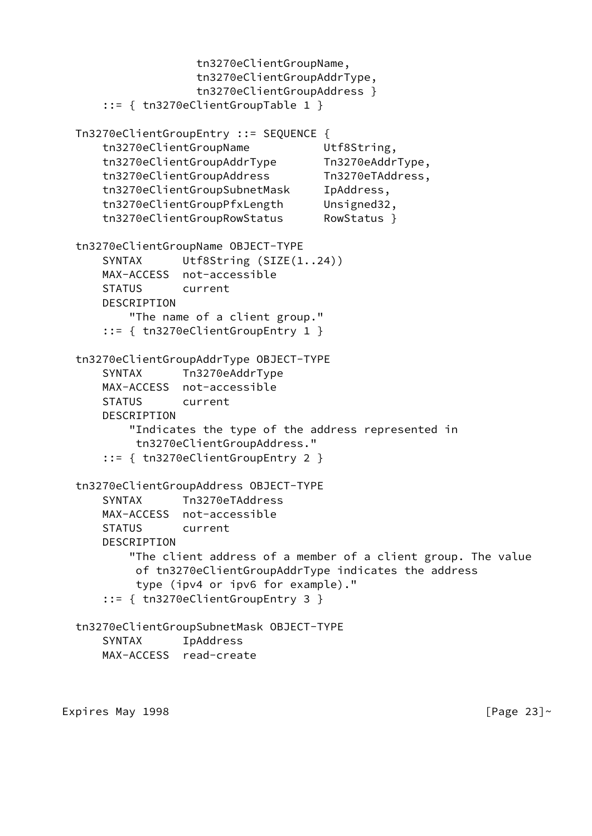```
 tn3270eClientGroupName,
                  tn3270eClientGroupAddrType,
                  tn3270eClientGroupAddress }
     ::= { tn3270eClientGroupTable 1 }
 Tn3270eClientGroupEntry ::= SEQUENCE {
     tn3270eClientGroupName Utf8String,
     tn3270eClientGroupAddrType Tn3270eAddrType,
    tn3270eClientGroupAddress Tn3270eTAddress,
    tn3270eClientGroupSubnetMask IpAddress,
     tn3270eClientGroupPfxLength Unsigned32,
     tn3270eClientGroupRowStatus RowStatus }
 tn3270eClientGroupName OBJECT-TYPE
    SYNTAX Utf8String (SIZE(1..24))
    MAX-ACCESS not-accessible
     STATUS current
    DESCRIPTION
         "The name of a client group."
     ::= { tn3270eClientGroupEntry 1 }
 tn3270eClientGroupAddrType OBJECT-TYPE
     SYNTAX Tn3270eAddrType
    MAX-ACCESS not-accessible
    STATUS current
    DESCRIPTION
         "Indicates the type of the address represented in
         tn3270eClientGroupAddress."
     ::= { tn3270eClientGroupEntry 2 }
 tn3270eClientGroupAddress OBJECT-TYPE
     SYNTAX Tn3270eTAddress
    MAX-ACCESS not-accessible
    STATUS current
    DESCRIPTION
         "The client address of a member of a client group. The value
         of tn3270eClientGroupAddrType indicates the address
          type (ipv4 or ipv6 for example)."
     ::= { tn3270eClientGroupEntry 3 }
 tn3270eClientGroupSubnetMask OBJECT-TYPE
     SYNTAX IpAddress
    MAX-ACCESS read-create
```
Expires May 1998  $[Page 23]~$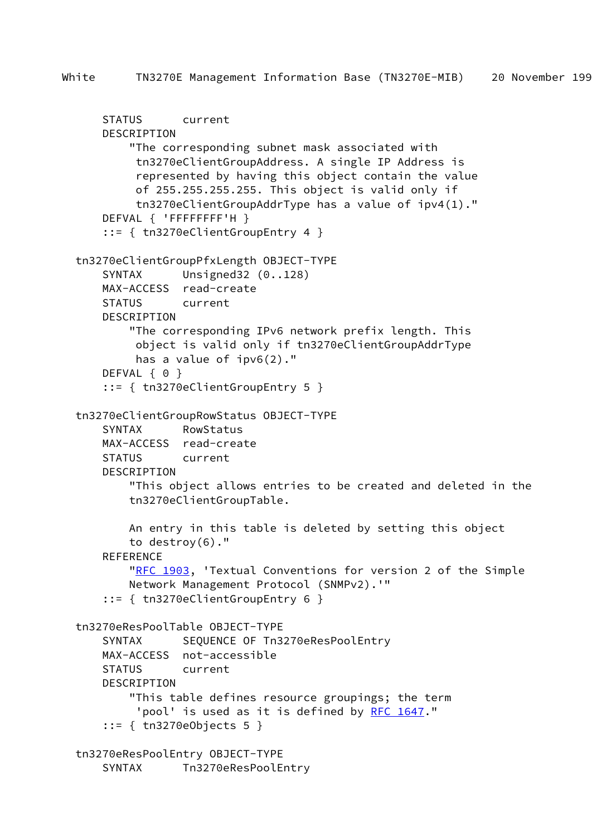```
 STATUS current
     DESCRIPTION
         "The corresponding subnet mask associated with
         tn3270eClientGroupAddress. A single IP Address is
         represented by having this object contain the value
         of 255.255.255.255. This object is valid only if
         tn3270eClientGroupAddrType has a value of ipv4(1)."
    DEFVAL { 'FFFFFFFF'H }
     ::= { tn3270eClientGroupEntry 4 }
 tn3270eClientGroupPfxLength OBJECT-TYPE
    SYNTAX Unsigned32 (0..128)
    MAX-ACCESS read-create
    STATUS current
    DESCRIPTION
         "The corresponding IPv6 network prefix length. This
         object is valid only if tn3270eClientGroupAddrType
         has a value of ipv6(2)."
    DEFVAL { 0 }
     ::= { tn3270eClientGroupEntry 5 }
 tn3270eClientGroupRowStatus OBJECT-TYPE
     SYNTAX RowStatus
    MAX-ACCESS read-create
    STATUS current
    DESCRIPTION
         "This object allows entries to be created and deleted in the
        tn3270eClientGroupTable.
        An entry in this table is deleted by setting this object
        to destroy(6)."
    REFERENCE
       "RFC 1903, 'Textual Conventions for version 2 of the Simple
        Network Management Protocol (SNMPv2).'"
     ::= { tn3270eClientGroupEntry 6 }
 tn3270eResPoolTable OBJECT-TYPE
    SYNTAX SEQUENCE OF Tn3270eResPoolEntry
    MAX-ACCESS not-accessible
    STATUS current
    DESCRIPTION
         "This table defines resource groupings; the term
         RFC 1647."
     ::= { tn3270eObjects 5 }
 tn3270eResPoolEntry OBJECT-TYPE
     SYNTAX Tn3270eResPoolEntry
```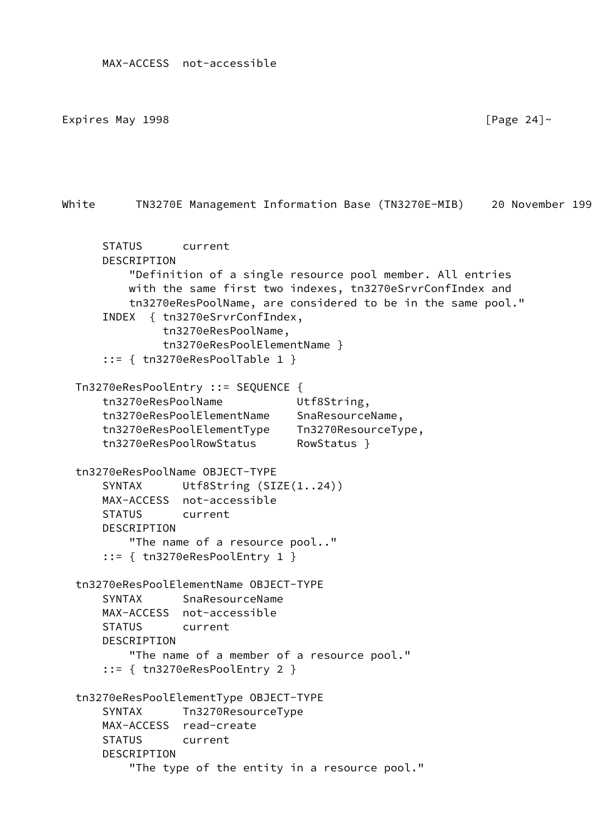Expires May 1998  $[$  Page 24] $\sim$ 

White TN3270E Management Information Base (TN3270E-MIB) 20 November 199 STATUS current DESCRIPTION "Definition of a single resource pool member. All entries with the same first two indexes, tn3270eSrvrConfIndex and tn3270eResPoolName, are considered to be in the same pool." INDEX { tn3270eSrvrConfIndex, tn3270eResPoolName, tn3270eResPoolElementName } ::= { tn3270eResPoolTable 1 } Tn3270eResPoolEntry ::= SEQUENCE { tn3270eResPoolName Utf8String, tn3270eResPoolElementName SnaResourceName, tn3270eResPoolElementType Tn3270ResourceType, tn3270eResPoolRowStatus RowStatus } tn3270eResPoolName OBJECT-TYPE SYNTAX Utf8String (SIZE(1..24)) MAX-ACCESS not-accessible STATUS current DESCRIPTION "The name of a resource pool.." ::= { tn3270eResPoolEntry 1 } tn3270eResPoolElementName OBJECT-TYPE SYNTAX SnaResourceName MAX-ACCESS not-accessible STATUS current DESCRIPTION "The name of a member of a resource pool." ::= { tn3270eResPoolEntry 2 } tn3270eResPoolElementType OBJECT-TYPE SYNTAX Tn3270ResourceType MAX-ACCESS read-create STATUS current DESCRIPTION "The type of the entity in a resource pool."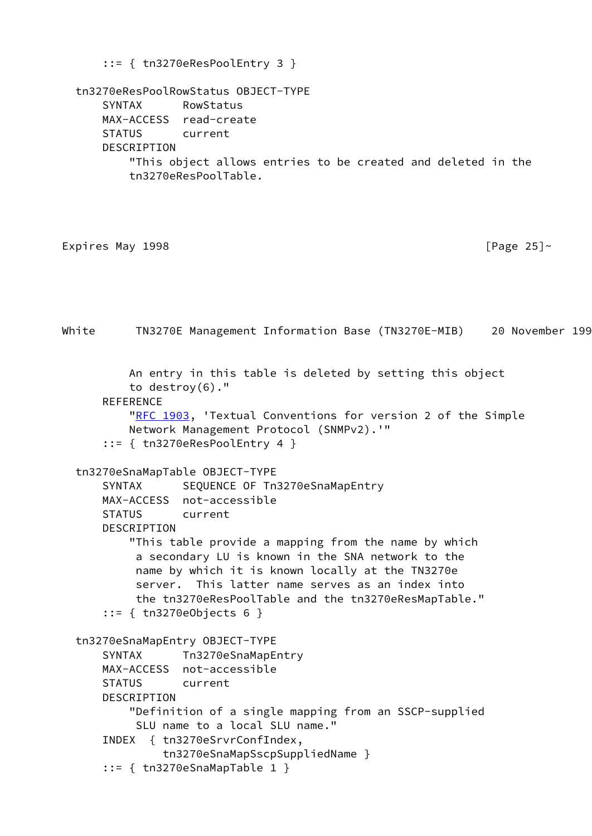```
 ::= { tn3270eResPoolEntry 3 }
  tn3270eResPoolRowStatus OBJECT-TYPE
      SYNTAX RowStatus
      MAX-ACCESS read-create
      STATUS current
      DESCRIPTION
          "This object allows entries to be created and deleted in the
          tn3270eResPoolTable.
Expires May 1998 [Page 25]~White TN3270E Management Information Base (TN3270E-MIB) 20 November 199
          An entry in this table is deleted by setting this object
          to destroy(6)."
     REFERENCE
         "RFC 1903, 'Textual Conventions for version 2 of the Simple
          Network Management Protocol (SNMPv2).'"
      ::= { tn3270eResPoolEntry 4 }
  tn3270eSnaMapTable OBJECT-TYPE
     SYNTAX SEQUENCE OF Tn3270eSnaMapEntry
      MAX-ACCESS not-accessible
      STATUS current
      DESCRIPTION
          "This table provide a mapping from the name by which
           a secondary LU is known in the SNA network to the
           name by which it is known locally at the TN3270e
           server. This latter name serves as an index into
           the tn3270eResPoolTable and the tn3270eResMapTable."
      ::= { tn3270eObjects 6 }
  tn3270eSnaMapEntry OBJECT-TYPE
     SYNTAX Tn3270eSnaMapEntry
      MAX-ACCESS not-accessible
      STATUS current
      DESCRIPTION
          "Definition of a single mapping from an SSCP-supplied
           SLU name to a local SLU name."
      INDEX { tn3270eSrvrConfIndex,
               tn3270eSnaMapSscpSuppliedName }
      ::= { tn3270eSnaMapTable 1 }
```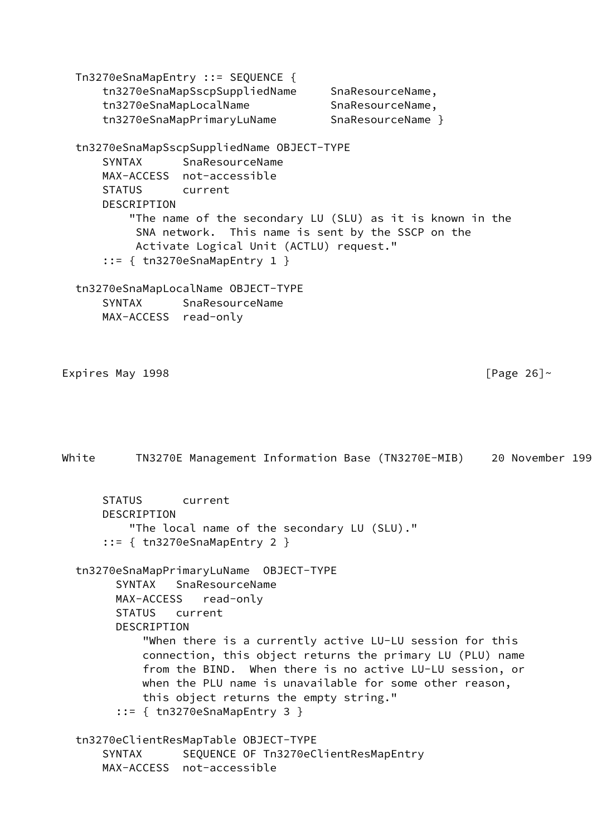Tn3270eSnaMapEntry ::= SEQUENCE { tn3270eSnaMapSscpSuppliedName SnaResourceName, tn3270eSnaMapLocalName SnaResourceName, tn3270eSnaMapPrimaryLuName SnaResourceName } tn3270eSnaMapSscpSuppliedName OBJECT-TYPE SYNTAX SnaResourceName MAX-ACCESS not-accessible STATUS current DESCRIPTION "The name of the secondary LU (SLU) as it is known in the SNA network. This name is sent by the SSCP on the Activate Logical Unit (ACTLU) request." ::= { tn3270eSnaMapEntry 1 } tn3270eSnaMapLocalName OBJECT-TYPE SYNTAX SnaResourceName MAX-ACCESS read-only Expires May 1998  $\blacksquare$ White TN3270E Management Information Base (TN3270E-MIB) 20 November 199 STATUS current DESCRIPTION "The local name of the secondary LU (SLU)." ::= { tn3270eSnaMapEntry 2 } tn3270eSnaMapPrimaryLuName OBJECT-TYPE SYNTAX SnaResourceName MAX-ACCESS read-only STATUS current DESCRIPTION "When there is a currently active LU-LU session for this connection, this object returns the primary LU (PLU) name from the BIND. When there is no active LU-LU session, or when the PLU name is unavailable for some other reason, this object returns the empty string." ::= { tn3270eSnaMapEntry 3 } tn3270eClientResMapTable OBJECT-TYPE SYNTAX SEQUENCE OF Tn3270eClientResMapEntry MAX-ACCESS not-accessible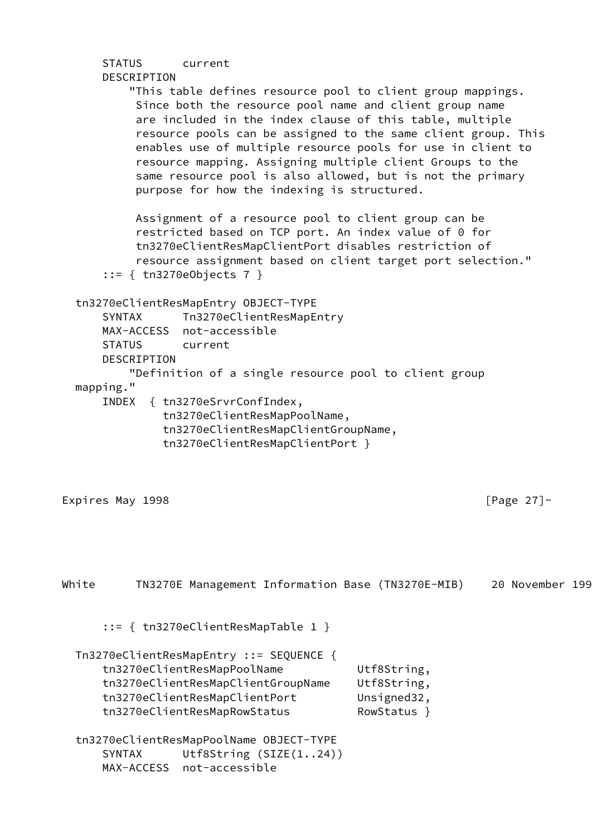| <b>STATUS</b>                                        | DESCRIPTION | current                                                                                                 |                                                                                                                                    |                                                                                                                                                                                                                                                                                                                                                                                                                                               |                 |
|------------------------------------------------------|-------------|---------------------------------------------------------------------------------------------------------|------------------------------------------------------------------------------------------------------------------------------------|-----------------------------------------------------------------------------------------------------------------------------------------------------------------------------------------------------------------------------------------------------------------------------------------------------------------------------------------------------------------------------------------------------------------------------------------------|-----------------|
|                                                      |             |                                                                                                         | purpose for how the indexing is structured.                                                                                        | "This table defines resource pool to client group mappings.<br>Since both the resource pool name and client group name<br>are included in the index clause of this table, multiple<br>resource pools can be assigned to the same client group. This<br>enables use of multiple resource pools for use in client to<br>resource mapping. Assigning multiple client Groups to the<br>same resource pool is also allowed, but is not the primary |                 |
|                                                      |             | $::= { \ttn3270e0bjects 7 }$                                                                            |                                                                                                                                    | Assignment of a resource pool to client group can be<br>restricted based on TCP port. An index value of 0 for<br>tn3270eClientResMapClientPort disables restriction of<br>resource assignment based on client target port selection."                                                                                                                                                                                                         |                 |
| <b>SYNTAX</b><br><b>STATUS</b><br>mapping."<br>INDEX | DESCRIPTION | tn3270eClientResMapEntry OBJECT-TYPE<br>MAX-ACCESS not-accessible<br>current<br>{ tn3270eSrvrConfIndex, | Tn3270eClientResMapEntry<br>tn3270eClientResMapPoolName,<br>tn3270eClientResMapClientGroupName,<br>tn3270eClientResMapClientPort } | "Definition of a single resource pool to client group                                                                                                                                                                                                                                                                                                                                                                                         |                 |
| Expires May 1998                                     |             |                                                                                                         |                                                                                                                                    |                                                                                                                                                                                                                                                                                                                                                                                                                                               | [Page $27$ ]~   |
| White                                                |             |                                                                                                         |                                                                                                                                    | TN3270E Management Information Base (TN3270E-MIB)                                                                                                                                                                                                                                                                                                                                                                                             | 20 November 199 |
|                                                      |             |                                                                                                         | $::= \{$ tn3270eClientResMapTable 1 }                                                                                              |                                                                                                                                                                                                                                                                                                                                                                                                                                               |                 |
|                                                      |             | tn3270eClientResMapPoolName<br>tn3270eClientResMapClientPort<br>tn3270eClientResMapRowStatus            | Tn3270eClientResMapEntry ::= SEQUENCE {<br>tn3270eClientResMapClientGroupName                                                      | Utf8String,<br>Utf8String,<br>Unsigned32,<br>RowStatus }                                                                                                                                                                                                                                                                                                                                                                                      |                 |
| <b>SYNTAX</b>                                        | MAX-ACCESS  | not-accessible                                                                                          | tn3270eClientResMapPoolName OBJECT-TYPE<br>Utf8String $(SIZE(124))$                                                                |                                                                                                                                                                                                                                                                                                                                                                                                                                               |                 |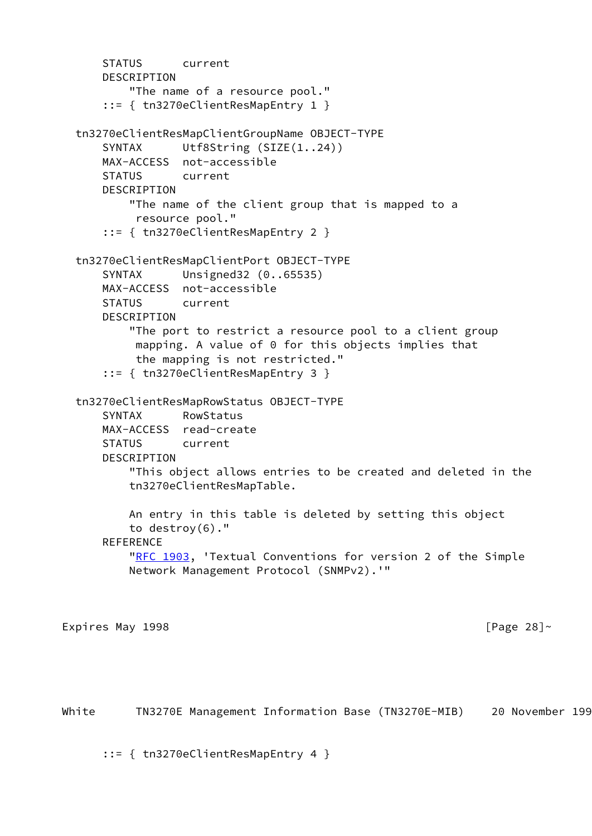```
 STATUS current
      DESCRIPTION
          "The name of a resource pool."
      ::= { tn3270eClientResMapEntry 1 }
  tn3270eClientResMapClientGroupName OBJECT-TYPE
     SYNTAX Utf8String (SIZE(1..24))
      MAX-ACCESS not-accessible
      STATUS current
     DESCRIPTION
          "The name of the client group that is mapped to a
           resource pool."
      ::= { tn3270eClientResMapEntry 2 }
  tn3270eClientResMapClientPort OBJECT-TYPE
      SYNTAX Unsigned32 (0..65535)
      MAX-ACCESS not-accessible
      STATUS current
      DESCRIPTION
          "The port to restrict a resource pool to a client group
           mapping. A value of 0 for this objects implies that
           the mapping is not restricted."
      ::= { tn3270eClientResMapEntry 3 }
  tn3270eClientResMapRowStatus OBJECT-TYPE
      SYNTAX RowStatus
      MAX-ACCESS read-create
      STATUS current
      DESCRIPTION
          "This object allows entries to be created and deleted in the
          tn3270eClientResMapTable.
          An entry in this table is deleted by setting this object
          to destroy(6)."
      REFERENCE
         "RFC 1903, 'Textual Conventions for version 2 of the Simple
          Network Management Protocol (SNMPv2).'"
Expires May 1998 \sim 28]\sim [Page 28]\sim
```
White TN3270E Management Information Base (TN3270E-MIB) 20 November 199

::= { tn3270eClientResMapEntry 4 }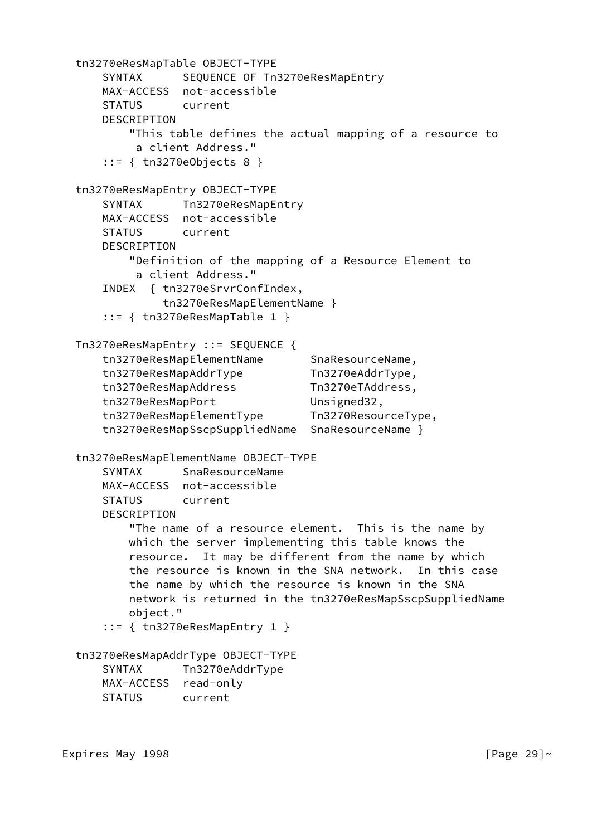```
 tn3270eResMapTable OBJECT-TYPE
    SYNTAX SEQUENCE OF Tn3270eResMapEntry
    MAX-ACCESS not-accessible
     STATUS current
    DESCRIPTION
         "This table defines the actual mapping of a resource to
         a client Address."
     ::= { tn3270eObjects 8 }
 tn3270eResMapEntry OBJECT-TYPE
    SYNTAX Tn3270eResMapEntry
    MAX-ACCESS not-accessible
    STATUS current
     DESCRIPTION
        "Definition of the mapping of a Resource Element to
         a client Address."
     INDEX { tn3270eSrvrConfIndex,
             tn3270eResMapElementName }
     ::= { tn3270eResMapTable 1 }
 Tn3270eResMapEntry ::= SEQUENCE {
    tn3270eResMapElementName SnaResourceName,
    tn3270eResMapAddrType Tn3270eAddrType,
    tn3270eResMapAddress Tn3270eTAddress,
   tn3270eResMapPort Unsigned32,
     tn3270eResMapElementType Tn3270ResourceType,
     tn3270eResMapSscpSuppliedName SnaResourceName }
 tn3270eResMapElementName OBJECT-TYPE
     SYNTAX SnaResourceName
    MAX-ACCESS not-accessible
     STATUS current
     DESCRIPTION
        "The name of a resource element. This is the name by
        which the server implementing this table knows the
        resource. It may be different from the name by which
        the resource is known in the SNA network. In this case
        the name by which the resource is known in the SNA
        network is returned in the tn3270eResMapSscpSuppliedName
        object."
     ::= { tn3270eResMapEntry 1 }
 tn3270eResMapAddrType OBJECT-TYPE
     SYNTAX Tn3270eAddrType
    MAX-ACCESS read-only
    STATUS current
```
Expires May 1998  $[$   $]$   $[$   $]$   $[$   $]$   $[$   $]$   $[$   $]$   $[$   $]$   $[$   $]$   $[$   $]$   $[$   $]$   $[$   $]$   $[$   $]$   $[$   $]$   $[$   $]$   $[$   $]$   $[$   $]$   $[$   $]$   $[$   $]$   $[$   $]$   $[$   $]$   $[$   $]$   $[$   $]$   $[$   $]$   $[$   $]$   $[$   $]$   $[$   $]$   $[$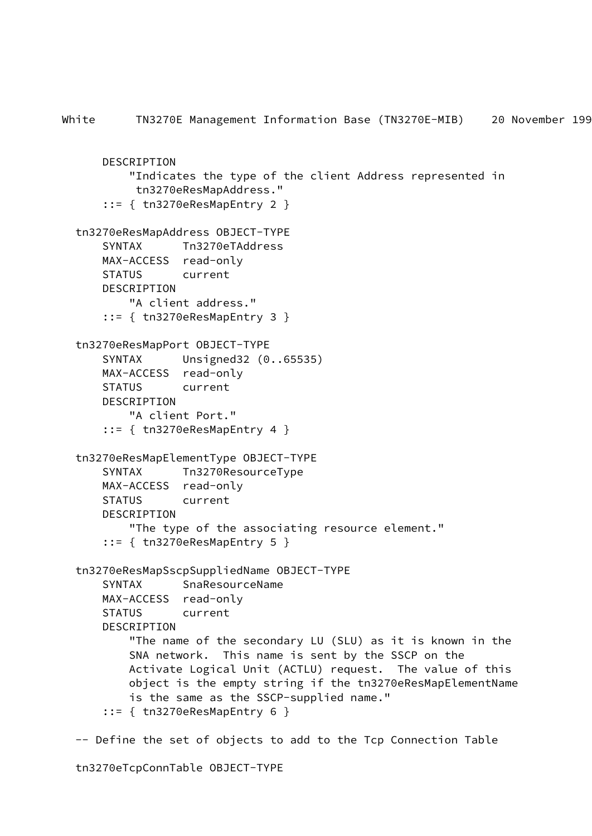```
White TN3270E Management Information Base (TN3270E-MIB) 20 November 199
       DESCRIPTION
           "Indicates the type of the client Address represented in
            tn3270eResMapAddress."
       ::= { tn3270eResMapEntry 2 }
   tn3270eResMapAddress OBJECT-TYPE
       SYNTAX Tn3270eTAddress
      MAX-ACCESS read-only
      STATUS current
       DESCRIPTION
           "A client address."
       ::= { tn3270eResMapEntry 3 }
   tn3270eResMapPort OBJECT-TYPE
       SYNTAX Unsigned32 (0..65535)
       MAX-ACCESS read-only
      STATUS current
       DESCRIPTION
           "A client Port."
       ::= { tn3270eResMapEntry 4 }
   tn3270eResMapElementType OBJECT-TYPE
       SYNTAX Tn3270ResourceType
      MAX-ACCESS read-only
       STATUS current
       DESCRIPTION
           "The type of the associating resource element."
       ::= { tn3270eResMapEntry 5 }
   tn3270eResMapSscpSuppliedName OBJECT-TYPE
       SYNTAX SnaResourceName
      MAX-ACCESS read-only
       STATUS current
       DESCRIPTION
           "The name of the secondary LU (SLU) as it is known in the
           SNA network. This name is sent by the SSCP on the
           Activate Logical Unit (ACTLU) request. The value of this
           object is the empty string if the tn3270eResMapElementName
           is the same as the SSCP-supplied name."
       ::= { tn3270eResMapEntry 6 }
   -- Define the set of objects to add to the Tcp Connection Table
```
tn3270eTcpConnTable OBJECT-TYPE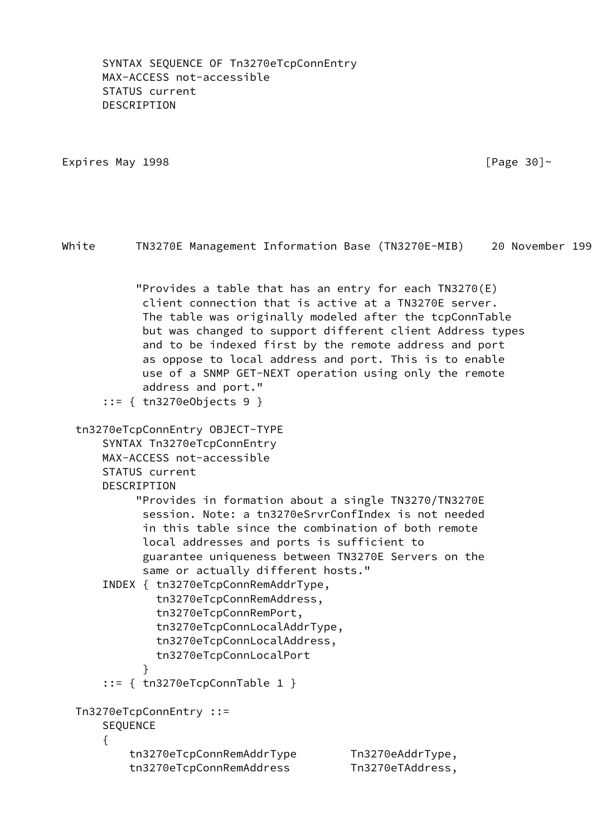SYNTAX SEQUENCE OF Tn3270eTcpConnEntry MAX-ACCESS not-accessible STATUS current DESCRIPTION

Expires May 1998  $\blacksquare$ 

 "Provides a table that has an entry for each TN3270(E) client connection that is active at a TN3270E server. The table was originally modeled after the tcpConnTable but was changed to support different client Address types and to be indexed first by the remote address and port as oppose to local address and port. This is to enable use of a SNMP GET-NEXT operation using only the remote address and port." ::= { tn3270eObjects 9 } tn3270eTcpConnEntry OBJECT-TYPE SYNTAX Tn3270eTcpConnEntry MAX-ACCESS not-accessible STATUS current DESCRIPTION "Provides in formation about a single TN3270/TN3270E session. Note: a tn3270eSrvrConfIndex is not needed in this table since the combination of both remote local addresses and ports is sufficient to guarantee uniqueness between TN3270E Servers on the same or actually different hosts." INDEX { tn3270eTcpConnRemAddrType, tn3270eTcpConnRemAddress, tn3270eTcpConnRemPort, tn3270eTcpConnLocalAddrType, tn3270eTcpConnLocalAddress, tn3270eTcpConnLocalPort } ::= { tn3270eTcpConnTable 1 } Tn3270eTcpConnEntry ::= SEQUENCE { tn3270eTcpConnRemAddrType Tn3270eAddrType, tn3270eTcpConnRemAddress Tn3270eTAddress,

White TN3270E Management Information Base (TN3270E-MIB) 20 November 199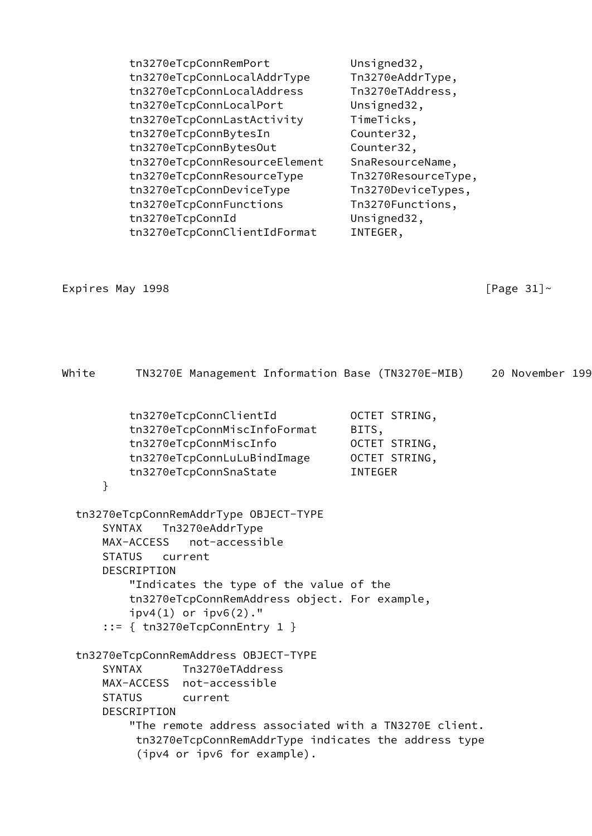| tn3270eTcpConnRemPort         | Unsigned32,         |
|-------------------------------|---------------------|
| tn3270eTcpConnLocalAddrType   | Tn3270eAddrType,    |
| tn3270eTcpConnLocalAddress    | Tn3270eTAddress,    |
| tn3270eTcpConnLocalPort       | Unsigned32,         |
| tn3270eTcpConnLastActivity    | TimeTicks,          |
| tn3270eTcpConnBytesIn         | Counter32,          |
| tn3270eTcpConnBytesOut        | Counter32,          |
| tn3270eTcpConnResourceElement | SnaResourceName,    |
| tn3270eTcpConnResourceType    | Tn3270ResourceType, |
| tn3270eTcpConnDeviceType      | Tn3270DeviceTypes,  |
| tn3270eTcpConnFunctions       | Tn3270Functions,    |
| tn3270eTcpConnId              | Unsigned32,         |
| tn3270eTcpConnClientIdFormat  | INTEGER,            |

# Expires May 1998  $[Page 31]~$

| White | TN3270E Management Information Base (TN3270E-MIB)                                                                                                                                                                                                                                                                |                                                                            | 20 November 199 |  |
|-------|------------------------------------------------------------------------------------------------------------------------------------------------------------------------------------------------------------------------------------------------------------------------------------------------------------------|----------------------------------------------------------------------------|-----------------|--|
|       | tn3270eTcpConnClientId<br>tn3270eTcpConnMiscInfoFormat<br>tn3270eTcpConnMiscInfo<br>tn3270eTcpConnLuLuBindImage<br>tn3270eTcpConnSnaState                                                                                                                                                                        | OCTET STRING,<br>BITS,<br>OCTET STRING,<br>OCTET STRING,<br><b>INTEGER</b> |                 |  |
| }     |                                                                                                                                                                                                                                                                                                                  |                                                                            |                 |  |
|       | tn3270eTcpConnRemAddrType OBJECT-TYPE<br>Tn3270eAddrType<br><b>SYNTAX</b><br>not-accessible<br>MAX-ACCESS<br><b>STATUS</b><br>current<br>DESCRIPTION<br>"Indicates the type of the value of the<br>tn3270eTcpConnRemAddress object. For example,<br>$ipv4(1)$ or $ipv6(2)$ ."<br>$::=$ { tn3270eTcpConnEntry 1 } |                                                                            |                 |  |
|       | tn3270eTcpConnRemAddress OBJECT-TYPE<br>Tn3270eTAddress<br><b>SYNTAX</b><br>MAX-ACCESS not-accessible<br><b>STATUS</b><br>current<br>DESCRIPTION<br>"The remote address associated with a TN3270E client.<br>tn3270eTcpConnRemAddrType indicates the address type<br>(ipv4 or ipv6 for example).                 |                                                                            |                 |  |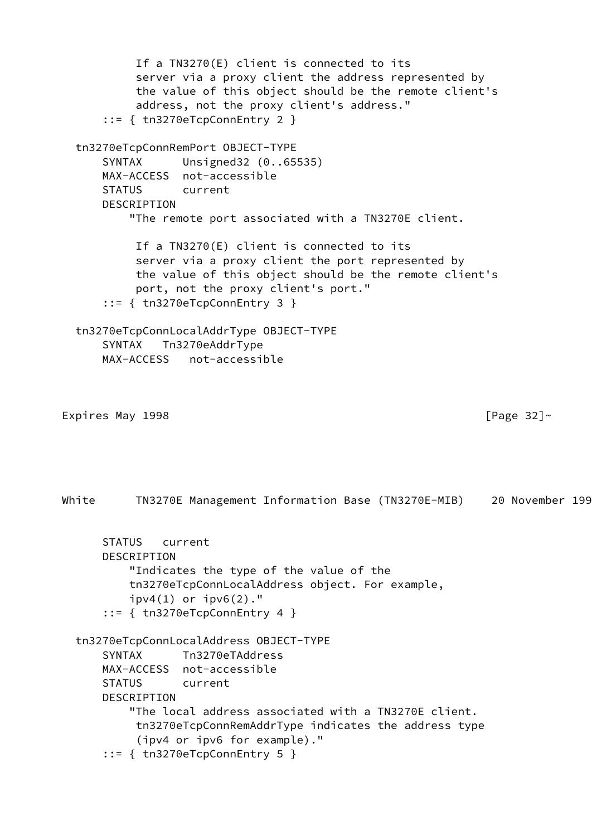If a TN3270(E) client is connected to its server via a proxy client the address represented by the value of this object should be the remote client's address, not the proxy client's address." ::= { tn3270eTcpConnEntry 2 } tn3270eTcpConnRemPort OBJECT-TYPE SYNTAX Unsigned32 (0..65535) MAX-ACCESS not-accessible STATUS current DESCRIPTION "The remote port associated with a TN3270E client. If a TN3270(E) client is connected to its server via a proxy client the port represented by the value of this object should be the remote client's port, not the proxy client's port." ::= { tn3270eTcpConnEntry 3 } tn3270eTcpConnLocalAddrType OBJECT-TYPE SYNTAX Tn3270eAddrType MAX-ACCESS not-accessible Expires May 1998  $[Page 32]~$ White TN3270E Management Information Base (TN3270E-MIB) 20 November 199 STATUS current DESCRIPTION "Indicates the type of the value of the tn3270eTcpConnLocalAddress object. For example,  $ipv4(1)$  or  $ipv6(2)$ ." ::= { tn3270eTcpConnEntry 4 } tn3270eTcpConnLocalAddress OBJECT-TYPE SYNTAX Tn3270eTAddress MAX-ACCESS not-accessible STATUS current DESCRIPTION "The local address associated with a TN3270E client. tn3270eTcpConnRemAddrType indicates the address type (ipv4 or ipv6 for example)." ::= { tn3270eTcpConnEntry 5 }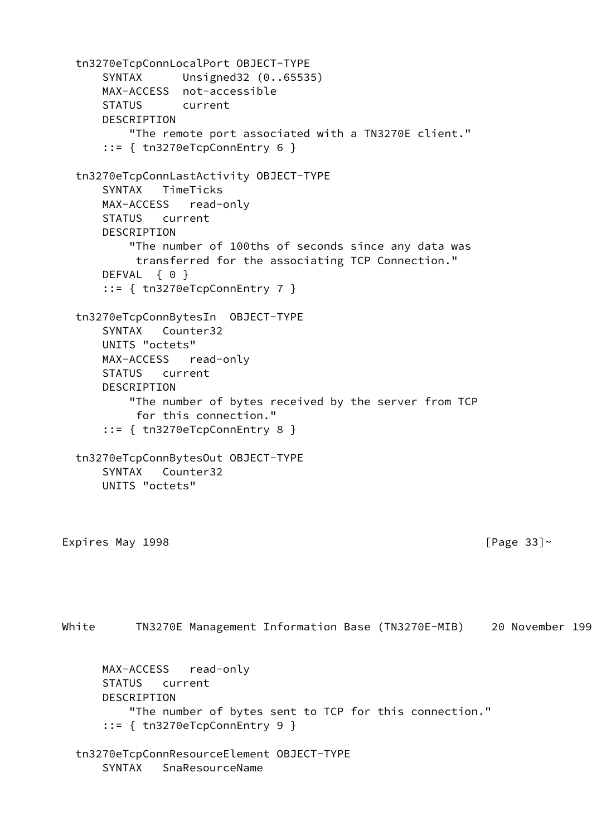```
 tn3270eTcpConnLocalPort OBJECT-TYPE
      SYNTAX Unsigned32 (0..65535)
      MAX-ACCESS not-accessible
      STATUS current
      DESCRIPTION
          "The remote port associated with a TN3270E client."
      ::= { tn3270eTcpConnEntry 6 }
  tn3270eTcpConnLastActivity OBJECT-TYPE
      SYNTAX TimeTicks
      MAX-ACCESS read-only
      STATUS current
      DESCRIPTION
          "The number of 100ths of seconds since any data was
           transferred for the associating TCP Connection."
     DEFVAL { 0 }
      ::= { tn3270eTcpConnEntry 7 }
  tn3270eTcpConnBytesIn OBJECT-TYPE
      SYNTAX Counter32
      UNITS "octets"
      MAX-ACCESS read-only
      STATUS current
      DESCRIPTION
          "The number of bytes received by the server from TCP
           for this connection."
      ::= { tn3270eTcpConnEntry 8 }
  tn3270eTcpConnBytesOut OBJECT-TYPE
      SYNTAX Counter32
      UNITS "octets"
Expires May 1998 [Page 33]~White TN3270E Management Information Base (TN3270E-MIB) 20 November 199
      MAX-ACCESS read-only
      STATUS current
      DESCRIPTION
          "The number of bytes sent to TCP for this connection."
      ::= { tn3270eTcpConnEntry 9 }
  tn3270eTcpConnResourceElement OBJECT-TYPE
      SYNTAX SnaResourceName
```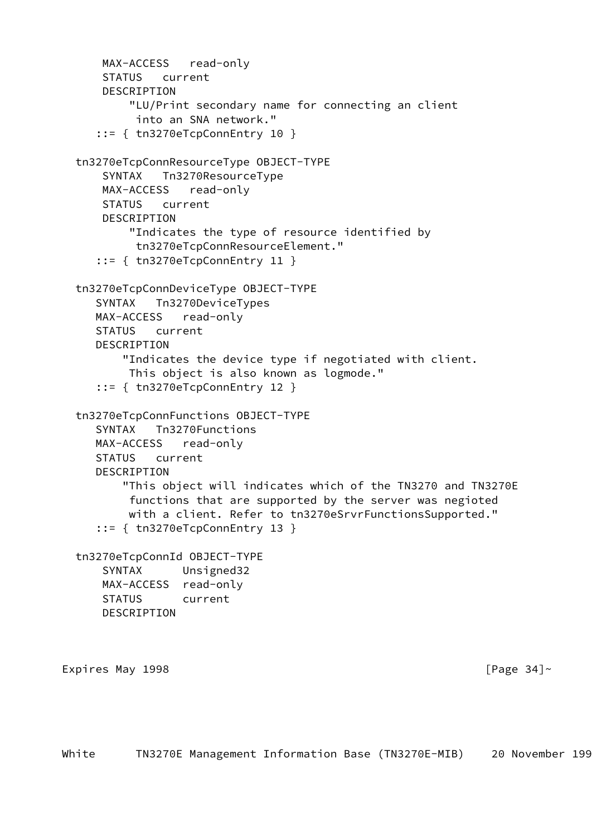```
 MAX-ACCESS read-only
       STATUS current
      DESCRIPTION
          "LU/Print secondary name for connecting an client
           into an SNA network."
      ::= { tn3270eTcpConnEntry 10 }
  tn3270eTcpConnResourceType OBJECT-TYPE
       SYNTAX Tn3270ResourceType
      MAX-ACCESS read-only
      STATUS current
      DESCRIPTION
          "Indicates the type of resource identified by
           tn3270eTcpConnResourceElement."
      ::= { tn3270eTcpConnEntry 11 }
  tn3270eTcpConnDeviceType OBJECT-TYPE
      SYNTAX Tn3270DeviceTypes
     MAX-ACCESS read-only
     STATUS current
     DESCRIPTION
          "Indicates the device type if negotiated with client.
          This object is also known as logmode."
      ::= { tn3270eTcpConnEntry 12 }
  tn3270eTcpConnFunctions OBJECT-TYPE
      SYNTAX Tn3270Functions
     MAX-ACCESS read-only
     STATUS current
    DESCRIPTION
          "This object will indicates which of the TN3270 and TN3270E
          functions that are supported by the server was negioted
          with a client. Refer to tn3270eSrvrFunctionsSupported."
      ::= { tn3270eTcpConnEntry 13 }
  tn3270eTcpConnId OBJECT-TYPE
       SYNTAX Unsigned32
      MAX-ACCESS read-only
      STATUS current
      DESCRIPTION
Expires May 1998 Expires May 1998
```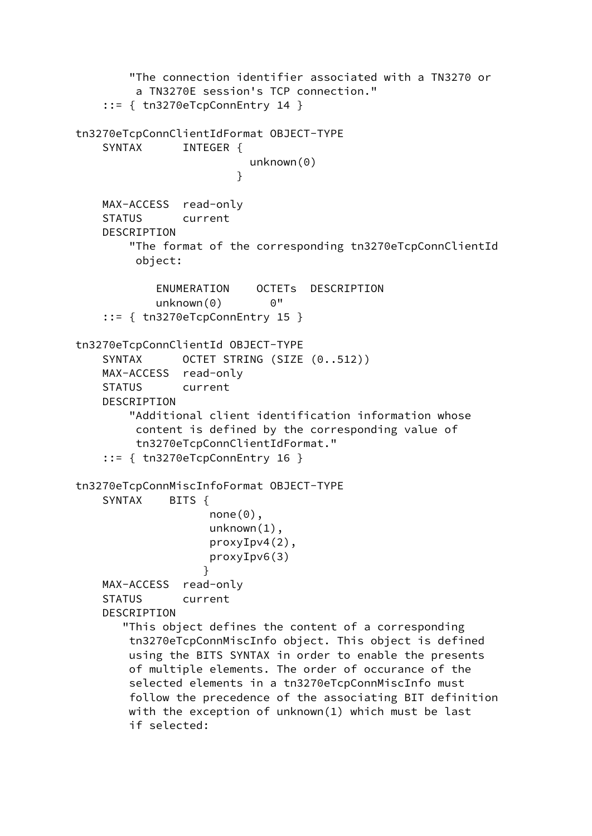"The connection identifier associated with a TN3270 or a TN3270E session's TCP connection." ::= { tn3270eTcpConnEntry 14 } tn3270eTcpConnClientIdFormat OBJECT-TYPE SYNTAX INTEGER { unknown(0) } MAX-ACCESS read-only STATUS current DESCRIPTION "The format of the corresponding tn3270eTcpConnClientId object: ENUMERATION OCTETs DESCRIPTION unknown(0) 0" ::= { tn3270eTcpConnEntry 15 } tn3270eTcpConnClientId OBJECT-TYPE SYNTAX OCTET STRING (SIZE (0..512)) MAX-ACCESS read-only STATUS current DESCRIPTION "Additional client identification information whose content is defined by the corresponding value of tn3270eTcpConnClientIdFormat." ::= { tn3270eTcpConnEntry 16 } tn3270eTcpConnMiscInfoFormat OBJECT-TYPE SYNTAX BITS { none(0), unknown(1), proxyIpv4(2), proxyIpv6(3) } MAX-ACCESS read-only STATUS current DESCRIPTION "This object defines the content of a corresponding tn3270eTcpConnMiscInfo object. This object is defined using the BITS SYNTAX in order to enable the presents of multiple elements. The order of occurance of the selected elements in a tn3270eTcpConnMiscInfo must follow the precedence of the associating BIT definition with the exception of unknown(1) which must be last if selected: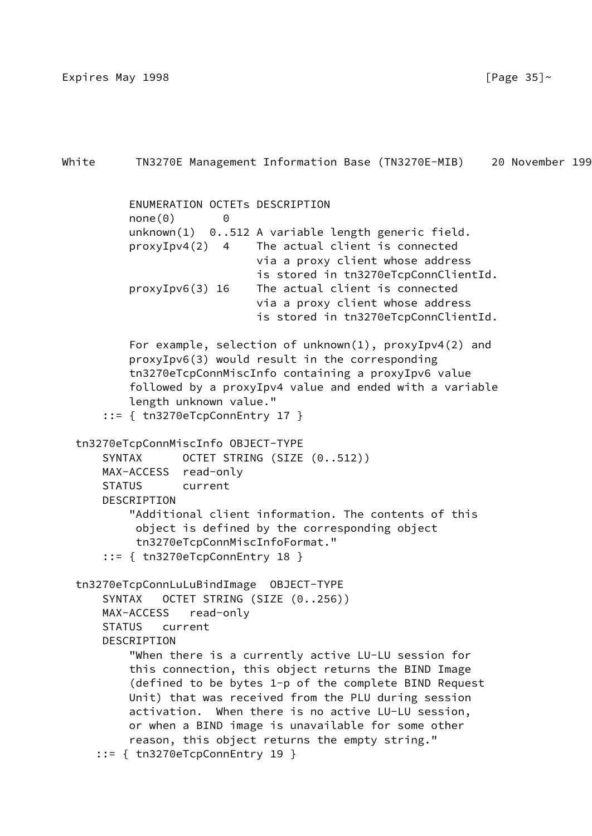Expires May 1998  $[$  Page 35] $\sim$ 

```
White TN3270E Management Information Base (TN3270E-MIB) 20 November 199
           ENUMERATION OCTETs DESCRIPTION
          none(0) 0
           unknown(1) 0..512 A variable length generic field.
           proxyIpv4(2) 4 The actual client is connected
                              via a proxy client whose address
                              is stored in tn3270eTcpConnClientId.
           proxyIpv6(3) 16 The actual client is connected
                              via a proxy client whose address
                              is stored in tn3270eTcpConnClientId.
           For example, selection of unknown(1), proxyIpv4(2) and
           proxyIpv6(3) would result in the corresponding
           tn3270eTcpConnMiscInfo containing a proxyIpv6 value
           followed by a proxyIpv4 value and ended with a variable
           length unknown value."
       ::= { tn3270eTcpConnEntry 17 }
   tn3270eTcpConnMiscInfo OBJECT-TYPE
      SYNTAX OCTET STRING (SIZE (0..512))
      MAX-ACCESS read-only
       STATUS current
      DESCRIPTION
           "Additional client information. The contents of this
            object is defined by the corresponding object
            tn3270eTcpConnMiscInfoFormat."
       ::= { tn3270eTcpConnEntry 18 }
   tn3270eTcpConnLuLuBindImage OBJECT-TYPE
       SYNTAX OCTET STRING (SIZE (0..256))
       MAX-ACCESS read-only
       STATUS current
       DESCRIPTION
           "When there is a currently active LU-LU session for
           this connection, this object returns the BIND Image
           (defined to be bytes 1-p of the complete BIND Request
           Unit) that was received from the PLU during session
           activation. When there is no active LU-LU session,
           or when a BIND image is unavailable for some other
           reason, this object returns the empty string."
      ::= { tn3270eTcpConnEntry 19 }
```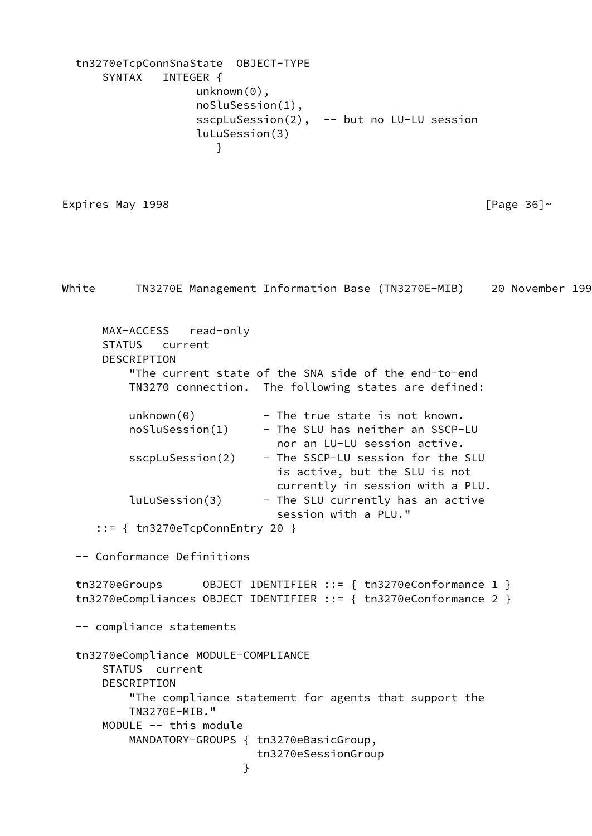```
 tn3270eTcpConnSnaState OBJECT-TYPE
      SYNTAX INTEGER {
                  unknown(0),
                  noSluSession(1),
                 sscpLuSession(2), -- but no LU-LU session
                  luLuSession(3)
 }
```
Expires May 1998  $\sim$  [Page 36] $\sim$ 

White TN3270E Management Information Base (TN3270E-MIB) 20 November 199 MAX-ACCESS read-only STATUS current DESCRIPTION "The current state of the SNA side of the end-to-end TN3270 connection. The following states are defined:  $unknown(0)$  - The true state is not known. noSluSession(1) - The SLU has neither an SSCP-LU nor an LU-LU session active. sscpLuSession(2) - The SSCP-LU session for the SLU is active, but the SLU is not currently in session with a PLU.  $l$ uLuSession(3) - The SLU currently has an active session with a PLU." ::= { tn3270eTcpConnEntry 20 } -- Conformance Definitions tn3270eGroups OBJECT IDENTIFIER ::= { tn3270eConformance 1 } tn3270eCompliances OBJECT IDENTIFIER ::= { tn3270eConformance 2 } -- compliance statements tn3270eCompliance MODULE-COMPLIANCE STATUS current DESCRIPTION "The compliance statement for agents that support the TN3270E-MIB." MODULE -- this module MANDATORY-GROUPS { tn3270eBasicGroup, tn3270eSessionGroup }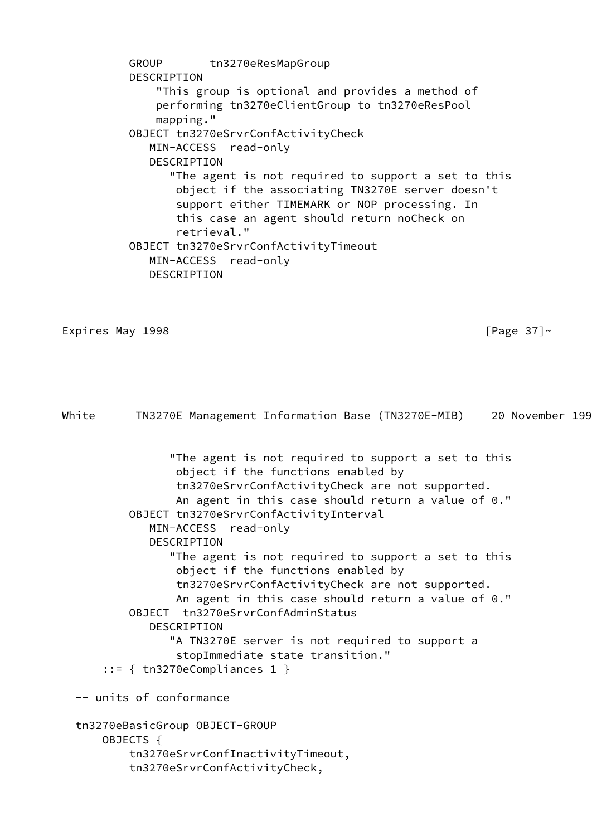GROUP tn3270eResMapGroup DESCRIPTION "This group is optional and provides a method of performing tn3270eClientGroup to tn3270eResPool mapping." OBJECT tn3270eSrvrConfActivityCheck MIN-ACCESS read-only DESCRIPTION "The agent is not required to support a set to this object if the associating TN3270E server doesn't support either TIMEMARK or NOP processing. In this case an agent should return noCheck on retrieval." OBJECT tn3270eSrvrConfActivityTimeout MIN-ACCESS read-only DESCRIPTION

Expires May 1998  $\sqrt{2}$  and  $\sqrt{2}$  and  $\sqrt{2}$  and  $\sqrt{2}$  and  $\sqrt{2}$  and  $\sqrt{2}$  and  $\sqrt{2}$  and  $\sqrt{2}$  and  $\sqrt{2}$  and  $\sqrt{2}$  and  $\sqrt{2}$  and  $\sqrt{2}$  and  $\sqrt{2}$  and  $\sqrt{2}$  and  $\sqrt{2}$  and  $\sqrt{2}$  and  $\sqrt{2}$  and

White TN3270E Management Information Base (TN3270E-MIB) 20 November 199

 "The agent is not required to support a set to this object if the functions enabled by tn3270eSrvrConfActivityCheck are not supported. An agent in this case should return a value of 0." OBJECT tn3270eSrvrConfActivityInterval MIN-ACCESS read-only DESCRIPTION "The agent is not required to support a set to this object if the functions enabled by tn3270eSrvrConfActivityCheck are not supported. An agent in this case should return a value of 0." OBJECT tn3270eSrvrConfAdminStatus DESCRIPTION "A TN3270E server is not required to support a stopImmediate state transition." ::= { tn3270eCompliances 1 } -- units of conformance tn3270eBasicGroup OBJECT-GROUP OBJECTS { tn3270eSrvrConfInactivityTimeout,

tn3270eSrvrConfActivityCheck,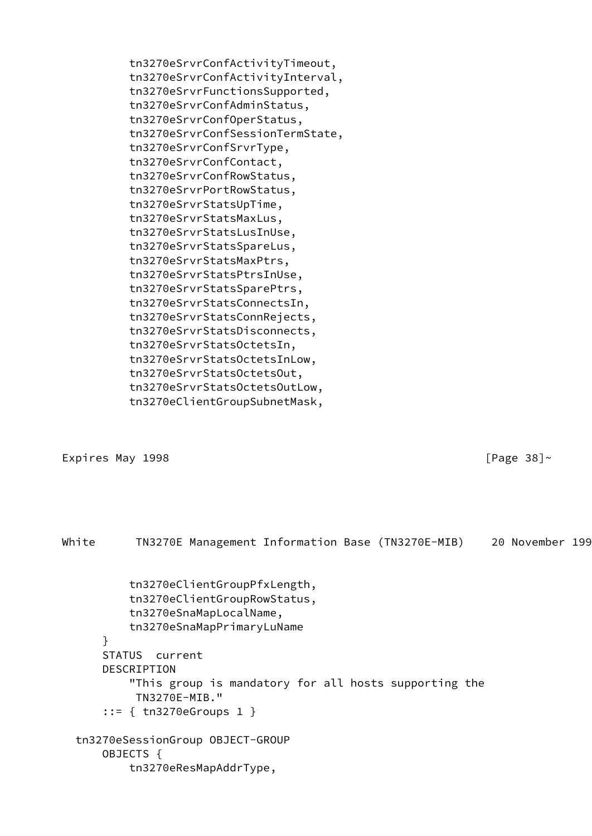tn3270eSrvrConfActivityTimeout, tn3270eSrvrConfActivityInterval, tn3270eSrvrFunctionsSupported, tn3270eSrvrConfAdminStatus, tn3270eSrvrConfOperStatus, tn3270eSrvrConfSessionTermState, tn3270eSrvrConfSrvrType, tn3270eSrvrConfContact, tn3270eSrvrConfRowStatus, tn3270eSrvrPortRowStatus, tn3270eSrvrStatsUpTime, tn3270eSrvrStatsMaxLus, tn3270eSrvrStatsLusInUse, tn3270eSrvrStatsSpareLus, tn3270eSrvrStatsMaxPtrs, tn3270eSrvrStatsPtrsInUse, tn3270eSrvrStatsSparePtrs, tn3270eSrvrStatsConnectsIn, tn3270eSrvrStatsConnRejects, tn3270eSrvrStatsDisconnects, tn3270eSrvrStatsOctetsIn, tn3270eSrvrStatsOctetsInLow, tn3270eSrvrStatsOctetsOut, tn3270eSrvrStatsOctetsOutLow, tn3270eClientGroupSubnetMask,

Expires May 1998 **Expires May 1998 Expires** May 1998

White TN3270E Management Information Base (TN3270E-MIB) 20 November 199 tn3270eClientGroupPfxLength, tn3270eClientGroupRowStatus, tn3270eSnaMapLocalName, tn3270eSnaMapPrimaryLuName } STATUS current DESCRIPTION "This group is mandatory for all hosts supporting the TN3270E-MIB." ::= { tn3270eGroups 1 } tn3270eSessionGroup OBJECT-GROUP OBJECTS { tn3270eResMapAddrType,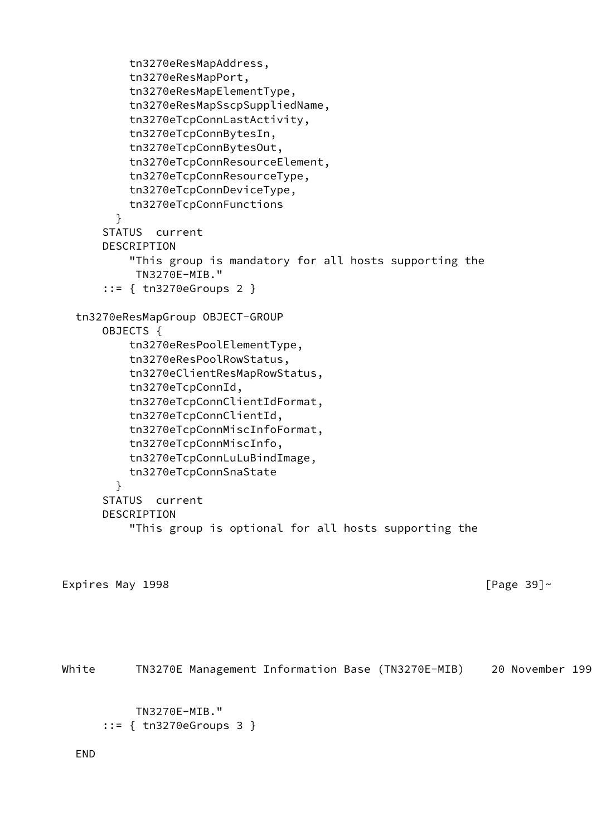```
 tn3270eResMapAddress,
           tn3270eResMapPort,
           tn3270eResMapElementType,
           tn3270eResMapSscpSuppliedName,
           tn3270eTcpConnLastActivity,
           tn3270eTcpConnBytesIn,
           tn3270eTcpConnBytesOut,
           tn3270eTcpConnResourceElement,
           tn3270eTcpConnResourceType,
           tn3270eTcpConnDeviceType,
           tn3270eTcpConnFunctions
         }
       STATUS current
       DESCRIPTION
           "This group is mandatory for all hosts supporting the
            TN3270E-MIB."
       ::= { tn3270eGroups 2 }
   tn3270eResMapGroup OBJECT-GROUP
       OBJECTS {
           tn3270eResPoolElementType,
           tn3270eResPoolRowStatus,
           tn3270eClientResMapRowStatus,
           tn3270eTcpConnId,
           tn3270eTcpConnClientIdFormat,
           tn3270eTcpConnClientId,
           tn3270eTcpConnMiscInfoFormat,
           tn3270eTcpConnMiscInfo,
           tn3270eTcpConnLuLuBindImage,
           tn3270eTcpConnSnaState
         }
       STATUS current
       DESCRIPTION
           "This group is optional for all hosts supporting the
Expires May 1998 Expires May 1998 Expires May 1998
White TN3270E Management Information Base (TN3270E-MIB) 20 November 199
            TN3270E-MIB."
       ::= { tn3270eGroups 3 }
```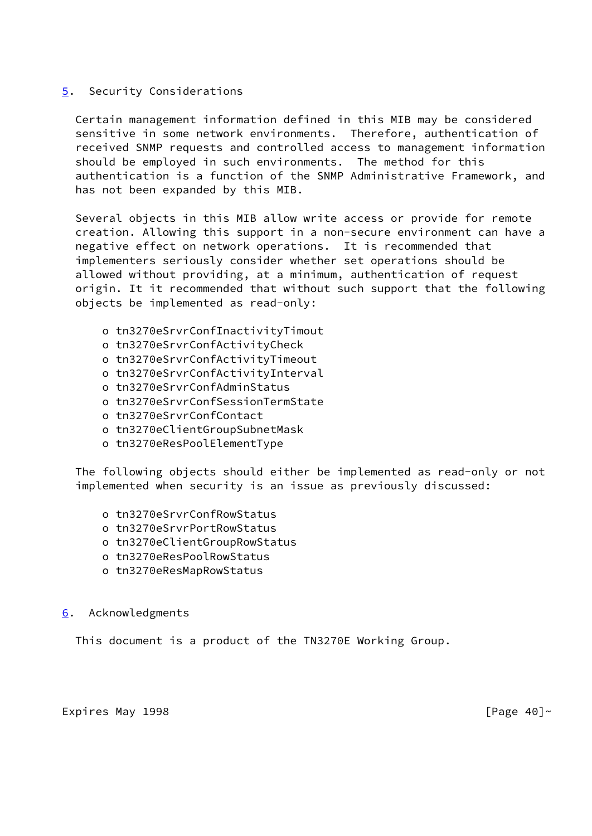### <span id="page-46-0"></span>[5](#page-46-0). Security Considerations

 Certain management information defined in this MIB may be considered sensitive in some network environments. Therefore, authentication of received SNMP requests and controlled access to management information should be employed in such environments. The method for this authentication is a function of the SNMP Administrative Framework, and has not been expanded by this MIB.

 Several objects in this MIB allow write access or provide for remote creation. Allowing this support in a non-secure environment can have a negative effect on network operations. It is recommended that implementers seriously consider whether set operations should be allowed without providing, at a minimum, authentication of request origin. It it recommended that without such support that the following objects be implemented as read-only:

- o tn3270eSrvrConfInactivityTimout
- o tn3270eSrvrConfActivityCheck
- o tn3270eSrvrConfActivityTimeout
- o tn3270eSrvrConfActivityInterval
- o tn3270eSrvrConfAdminStatus
- o tn3270eSrvrConfSessionTermState
- o tn3270eSrvrConfContact
- o tn3270eClientGroupSubnetMask
- o tn3270eResPoolElementType

 The following objects should either be implemented as read-only or not implemented when security is an issue as previously discussed:

- o tn3270eSrvrConfRowStatus
- o tn3270eSrvrPortRowStatus
- o tn3270eClientGroupRowStatus
- o tn3270eResPoolRowStatus
- o tn3270eResMapRowStatus

### <span id="page-46-1"></span>[6](#page-46-1). Acknowledgments

This document is a product of the TN3270E Working Group.

### Expires May 1998 **Expires May 1998 Expires** May 1998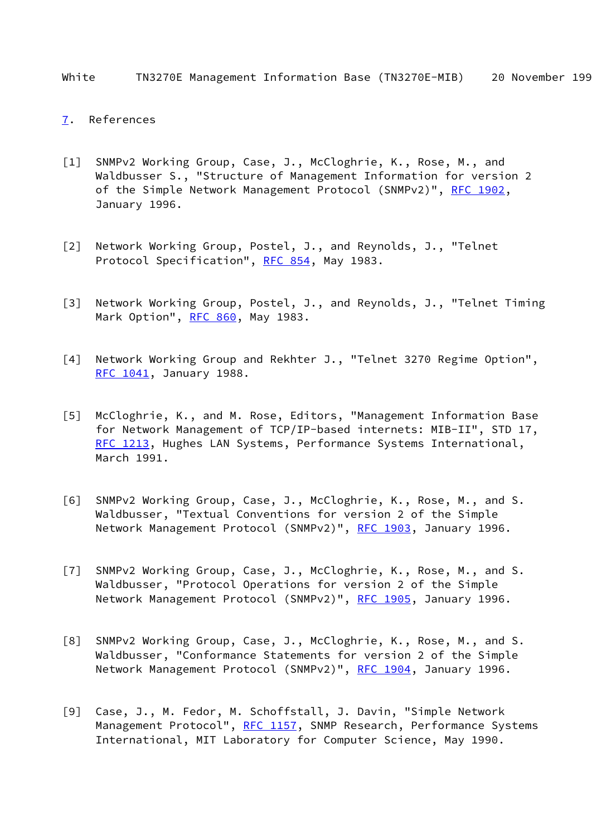White TN3270E Management Information Base (TN3270E-MIB) 20 November 199

### <span id="page-47-7"></span>[7](#page-47-7). References

- <span id="page-47-0"></span>[1] SNMPv2 Working Group, Case, J., McCloghrie, K., Rose, M., and Waldbusser S., "Structure of Management Information for version 2 of the Simple Network Management Protocol (SNMPv2)", [RFC 1902,](https://datatracker.ietf.org/doc/pdf/rfc1902) January 1996.
- [2] Network Working Group, Postel, J., and Reynolds, J., "Telnet Protocol Specification", [RFC 854](https://datatracker.ietf.org/doc/pdf/rfc854), May 1983.
- <span id="page-47-6"></span>[3] Network Working Group, Postel, J., and Reynolds, J., "Telnet Timing Mark Option", [RFC 860](https://datatracker.ietf.org/doc/pdf/rfc860), May 1983.
- [4] Network Working Group and Rekhter J., "Telnet 3270 Regime Option", [RFC 1041](https://datatracker.ietf.org/doc/pdf/rfc1041), January 1988.
- <span id="page-47-1"></span>[5] McCloghrie, K., and M. Rose, Editors, "Management Information Base for Network Management of TCP/IP-based internets: MIB-II", STD 17, [RFC 1213](https://datatracker.ietf.org/doc/pdf/rfc1213), Hughes LAN Systems, Performance Systems International, March 1991.
- <span id="page-47-4"></span>[6] SNMPv2 Working Group, Case, J., McCloghrie, K., Rose, M., and S. Waldbusser, "Textual Conventions for version 2 of the Simple Network Management Protocol (SNMPv2)", [RFC 1903](https://datatracker.ietf.org/doc/pdf/rfc1903), January 1996.
- <span id="page-47-3"></span>[7] SNMPv2 Working Group, Case, J., McCloghrie, K., Rose, M., and S. Waldbusser, "Protocol Operations for version 2 of the Simple Network Management Protocol (SNMPv2)", [RFC 1905](https://datatracker.ietf.org/doc/pdf/rfc1905), January 1996.
- <span id="page-47-5"></span>[8] SNMPv2 Working Group, Case, J., McCloghrie, K., Rose, M., and S. Waldbusser, "Conformance Statements for version 2 of the Simple Network Management Protocol (SNMPv2)", [RFC 1904](https://datatracker.ietf.org/doc/pdf/rfc1904), January 1996.
- <span id="page-47-2"></span>[9] Case, J., M. Fedor, M. Schoffstall, J. Davin, "Simple Network Management Protocol", [RFC 1157](https://datatracker.ietf.org/doc/pdf/rfc1157), SNMP Research, Performance Systems International, MIT Laboratory for Computer Science, May 1990.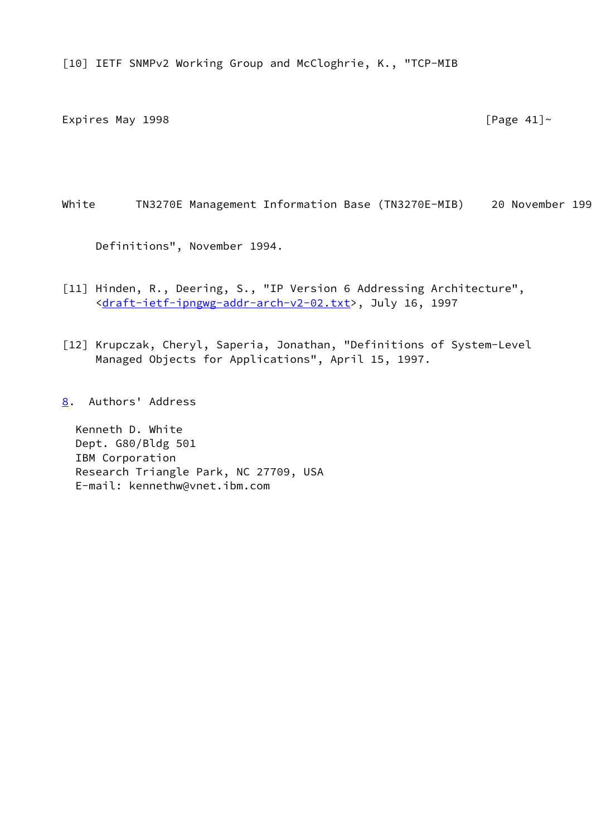[10] IETF SNMPv2 Working Group and McCloghrie, K., "TCP-MIB

Expires May 1998  $[Page 41]~$ 

White TN3270E Management Information Base (TN3270E-MIB) 20 November 199

Definitions", November 1994.

- [11] Hinden, R., Deering, S., "IP Version 6 Addressing Architecture", <[draft-ietf-ipngwg-addr-arch-v2-02.txt>](https://datatracker.ietf.org/doc/pdf/draft-ietf-ipngwg-addr-arch-v2-02.txt), July 16, 1997
- <span id="page-48-0"></span>[12] Krupczak, Cheryl, Saperia, Jonathan, "Definitions of System-Level Managed Objects for Applications", April 15, 1997.
- <span id="page-48-1"></span>[8](#page-48-1). Authors' Address

 Kenneth D. White Dept. G80/Bldg 501 IBM Corporation Research Triangle Park, NC 27709, USA E-mail: kennethw@vnet.ibm.com